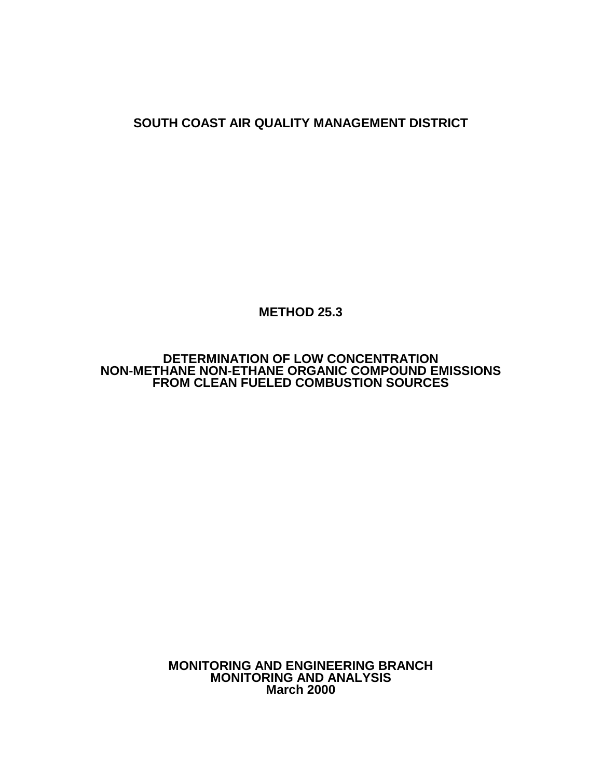**SOUTH COAST AIR QUALITY MANAGEMENT DISTRICT**

**METHOD 25.3**

**DETERMINATION OF LOW CONCENTRATION NON-METHANE NON-ETHANE ORGANIC COMPOUND EMISSIONS FROM CLEAN FUELED COMBUSTION SOURCES**

> **MONITORING AND ENGINEERING BRANCH MONITORING AND ANALYSIS March 2000**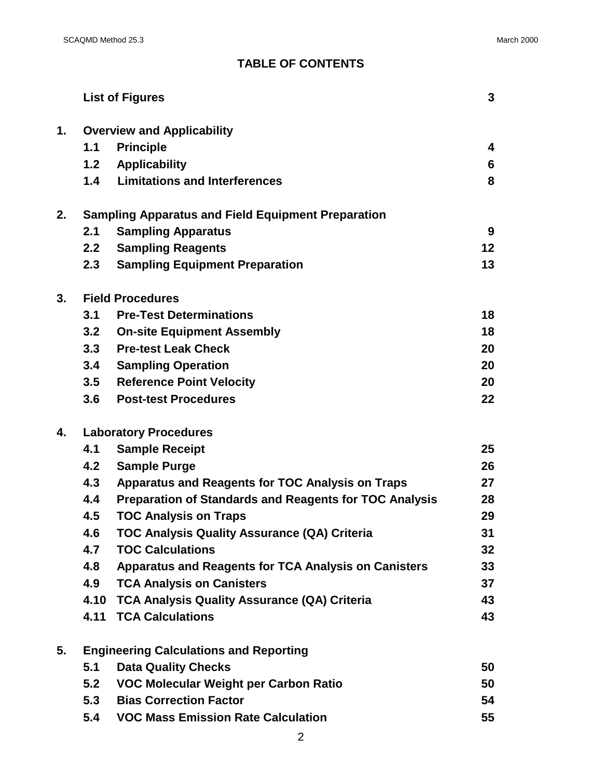# **TABLE OF CONTENTS**

|    |                                               | <b>List of Figures</b>                                        | 3  |  |  |  |  |  |
|----|-----------------------------------------------|---------------------------------------------------------------|----|--|--|--|--|--|
| 1. |                                               | <b>Overview and Applicability</b>                             |    |  |  |  |  |  |
|    | 1.1                                           | <b>Principle</b>                                              | 4  |  |  |  |  |  |
|    |                                               | 1.2 Applicability                                             | 6  |  |  |  |  |  |
|    | 1.4                                           | <b>Limitations and Interferences</b>                          | 8  |  |  |  |  |  |
| 2. |                                               | <b>Sampling Apparatus and Field Equipment Preparation</b>     |    |  |  |  |  |  |
|    | 2.1                                           | <b>Sampling Apparatus</b>                                     | 9  |  |  |  |  |  |
|    | 2.2 <sub>2</sub>                              | <b>Sampling Reagents</b>                                      | 12 |  |  |  |  |  |
|    | 2.3                                           | <b>Sampling Equipment Preparation</b>                         | 13 |  |  |  |  |  |
| 3. |                                               | <b>Field Procedures</b>                                       |    |  |  |  |  |  |
|    | 3.1                                           | <b>Pre-Test Determinations</b>                                | 18 |  |  |  |  |  |
|    | 3.2                                           | <b>On-site Equipment Assembly</b>                             | 18 |  |  |  |  |  |
|    | 3.3                                           | <b>Pre-test Leak Check</b>                                    | 20 |  |  |  |  |  |
|    | 3.4                                           | <b>Sampling Operation</b>                                     | 20 |  |  |  |  |  |
|    | 3.5                                           | <b>Reference Point Velocity</b>                               | 20 |  |  |  |  |  |
|    | 3.6                                           | <b>Post-test Procedures</b>                                   | 22 |  |  |  |  |  |
| 4. | <b>Laboratory Procedures</b>                  |                                                               |    |  |  |  |  |  |
|    | 4.1                                           | <b>Sample Receipt</b>                                         | 25 |  |  |  |  |  |
|    | 4.2                                           | <b>Sample Purge</b>                                           | 26 |  |  |  |  |  |
|    | 4.3                                           | Apparatus and Reagents for TOC Analysis on Traps              | 27 |  |  |  |  |  |
|    | 4.4                                           | <b>Preparation of Standards and Reagents for TOC Analysis</b> | 28 |  |  |  |  |  |
|    | 4.5                                           | <b>TOC Analysis on Traps</b>                                  | 29 |  |  |  |  |  |
|    | 4.6                                           | TOC Analysis Quality Assurance (QA) Criteria                  | 31 |  |  |  |  |  |
|    | 4.7                                           | <b>TOC Calculations</b>                                       | 32 |  |  |  |  |  |
|    | 4.8                                           | <b>Apparatus and Reagents for TCA Analysis on Canisters</b>   | 33 |  |  |  |  |  |
|    | 4.9                                           | <b>TCA Analysis on Canisters</b>                              | 37 |  |  |  |  |  |
|    | 4.10                                          | <b>TCA Analysis Quality Assurance (QA) Criteria</b>           | 43 |  |  |  |  |  |
|    | 4.11                                          | <b>TCA Calculations</b>                                       | 43 |  |  |  |  |  |
| 5. | <b>Engineering Calculations and Reporting</b> |                                                               |    |  |  |  |  |  |
|    | 5.1                                           | <b>Data Quality Checks</b>                                    | 50 |  |  |  |  |  |
|    | 5.2                                           | VOC Molecular Weight per Carbon Ratio                         | 50 |  |  |  |  |  |
|    | 5.3                                           | <b>Bias Correction Factor</b>                                 | 54 |  |  |  |  |  |
|    | 5.4                                           | <b>VOC Mass Emission Rate Calculation</b>                     | 55 |  |  |  |  |  |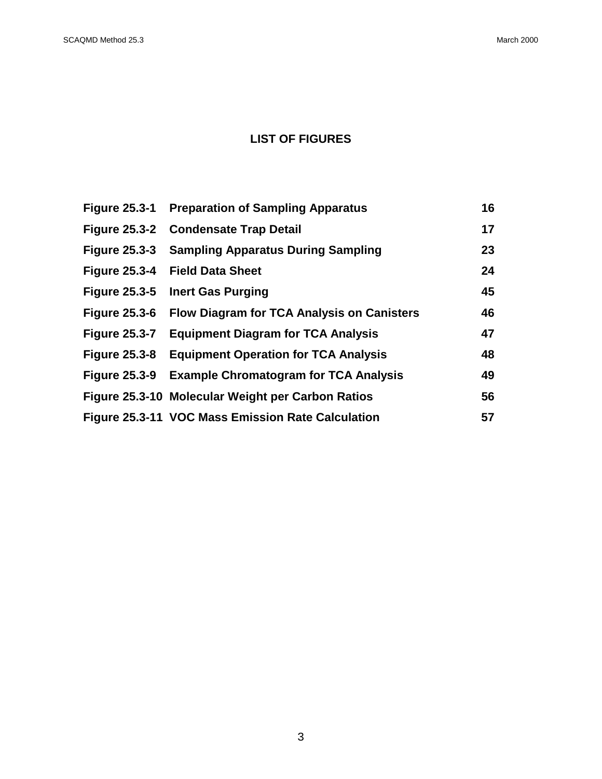# **LIST OF FIGURES**

| <b>Figure 25.3-1</b> | <b>Preparation of Sampling Apparatus</b>          | 16 |
|----------------------|---------------------------------------------------|----|
| <b>Figure 25.3-2</b> | <b>Condensate Trap Detail</b>                     | 17 |
| <b>Figure 25.3-3</b> | <b>Sampling Apparatus During Sampling</b>         | 23 |
|                      | Figure 25.3-4 Field Data Sheet                    | 24 |
|                      | Figure 25.3-5 Inert Gas Purging                   | 45 |
| <b>Figure 25.3-6</b> | <b>Flow Diagram for TCA Analysis on Canisters</b> | 46 |
| <b>Figure 25.3-7</b> | <b>Equipment Diagram for TCA Analysis</b>         | 47 |
| <b>Figure 25.3-8</b> | <b>Equipment Operation for TCA Analysis</b>       | 48 |
| <b>Figure 25.3-9</b> | <b>Example Chromatogram for TCA Analysis</b>      | 49 |
|                      | Figure 25.3-10 Molecular Weight per Carbon Ratios | 56 |
|                      | Figure 25.3-11 VOC Mass Emission Rate Calculation | 57 |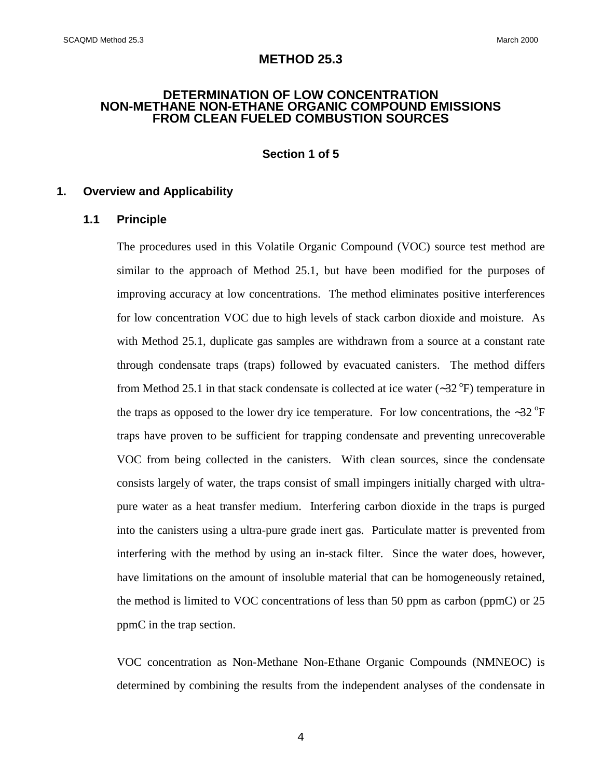## **METHOD 25.3**

#### **DETERMINATION OF LOW CONCENTRATION NON-METHANE NON-ETHANE ORGANIC COMPOUND EMISSIONS FROM CLEAN FUELED COMBUSTION SOURCES**

## **Section 1 of 5**

### **1. Overview and Applicability**

#### **1.1 Principle**

The procedures used in this Volatile Organic Compound (VOC) source test method are similar to the approach of Method 25.1, but have been modified for the purposes of improving accuracy at low concentrations. The method eliminates positive interferences for low concentration VOC due to high levels of stack carbon dioxide and moisture. As with Method 25.1, duplicate gas samples are withdrawn from a source at a constant rate through condensate traps (traps) followed by evacuated canisters. The method differs from Method 25.1 in that stack condensate is collected at ice water ( $\sim$ 32 °F) temperature in the traps as opposed to the lower dry ice temperature. For low concentrations, the ∼32  $\mathrm{P}F$ traps have proven to be sufficient for trapping condensate and preventing unrecoverable VOC from being collected in the canisters. With clean sources, since the condensate consists largely of water, the traps consist of small impingers initially charged with ultrapure water as a heat transfer medium. Interfering carbon dioxide in the traps is purged into the canisters using a ultra-pure grade inert gas. Particulate matter is prevented from interfering with the method by using an in-stack filter. Since the water does, however, have limitations on the amount of insoluble material that can be homogeneously retained, the method is limited to VOC concentrations of less than 50 ppm as carbon (ppmC) or 25 ppmC in the trap section.

VOC concentration as Non-Methane Non-Ethane Organic Compounds (NMNEOC) is determined by combining the results from the independent analyses of the condensate in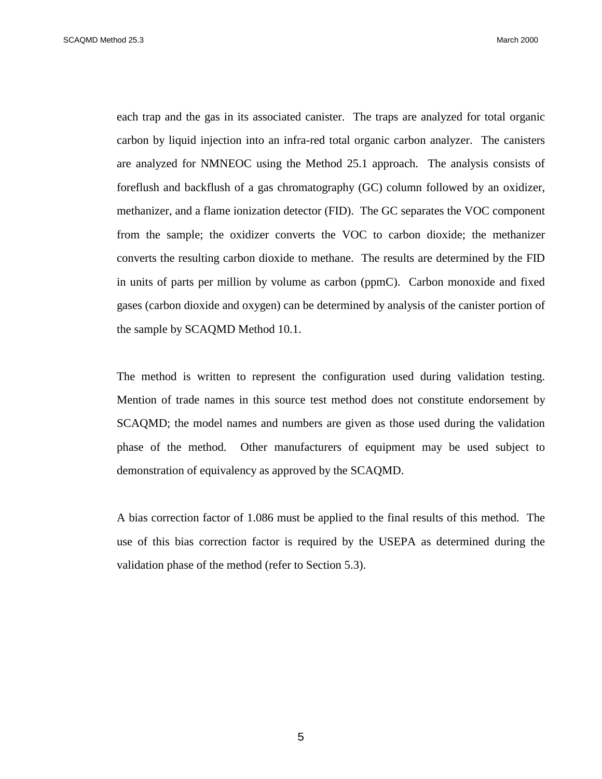SCAQMD Method 25.3 March 2000

each trap and the gas in its associated canister. The traps are analyzed for total organic carbon by liquid injection into an infra-red total organic carbon analyzer. The canisters are analyzed for NMNEOC using the Method 25.1 approach. The analysis consists of foreflush and backflush of a gas chromatography (GC) column followed by an oxidizer, methanizer, and a flame ionization detector (FID). The GC separates the VOC component from the sample; the oxidizer converts the VOC to carbon dioxide; the methanizer converts the resulting carbon dioxide to methane. The results are determined by the FID in units of parts per million by volume as carbon (ppmC). Carbon monoxide and fixed gases (carbon dioxide and oxygen) can be determined by analysis of the canister portion of the sample by SCAQMD Method 10.1.

The method is written to represent the configuration used during validation testing. Mention of trade names in this source test method does not constitute endorsement by SCAQMD; the model names and numbers are given as those used during the validation phase of the method. Other manufacturers of equipment may be used subject to demonstration of equivalency as approved by the SCAQMD.

A bias correction factor of 1.086 must be applied to the final results of this method. The use of this bias correction factor is required by the USEPA as determined during the validation phase of the method (refer to Section 5.3).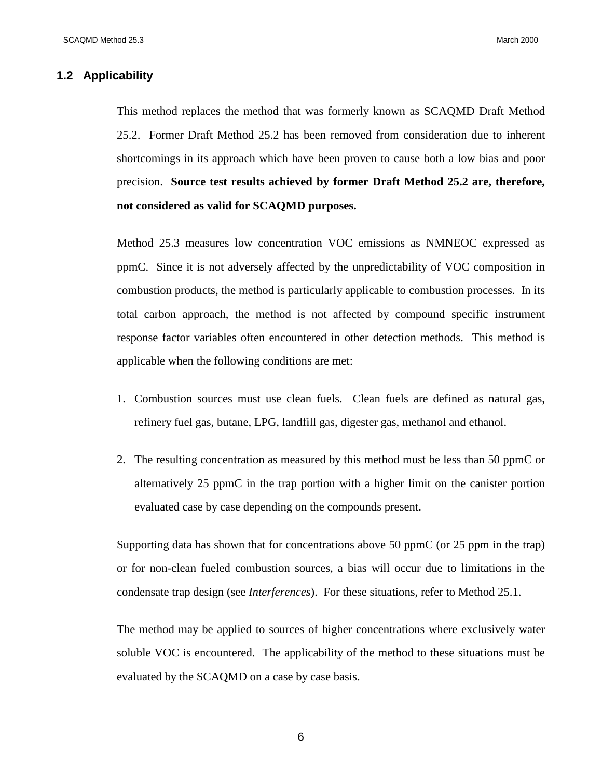## **1.2 Applicability**

This method replaces the method that was formerly known as SCAQMD Draft Method 25.2. Former Draft Method 25.2 has been removed from consideration due to inherent shortcomings in its approach which have been proven to cause both a low bias and poor precision. **Source test results achieved by former Draft Method 25.2 are, therefore, not considered as valid for SCAQMD purposes.**

Method 25.3 measures low concentration VOC emissions as NMNEOC expressed as ppmC. Since it is not adversely affected by the unpredictability of VOC composition in combustion products, the method is particularly applicable to combustion processes. In its total carbon approach, the method is not affected by compound specific instrument response factor variables often encountered in other detection methods. This method is applicable when the following conditions are met:

- 1. Combustion sources must use clean fuels. Clean fuels are defined as natural gas, refinery fuel gas, butane, LPG, landfill gas, digester gas, methanol and ethanol.
- 2. The resulting concentration as measured by this method must be less than 50 ppmC or alternatively 25 ppmC in the trap portion with a higher limit on the canister portion evaluated case by case depending on the compounds present.

Supporting data has shown that for concentrations above 50 ppmC (or 25 ppm in the trap) or for non-clean fueled combustion sources, a bias will occur due to limitations in the condensate trap design (see *Interferences*). For these situations, refer to Method 25.1.

The method may be applied to sources of higher concentrations where exclusively water soluble VOC is encountered. The applicability of the method to these situations must be evaluated by the SCAQMD on a case by case basis.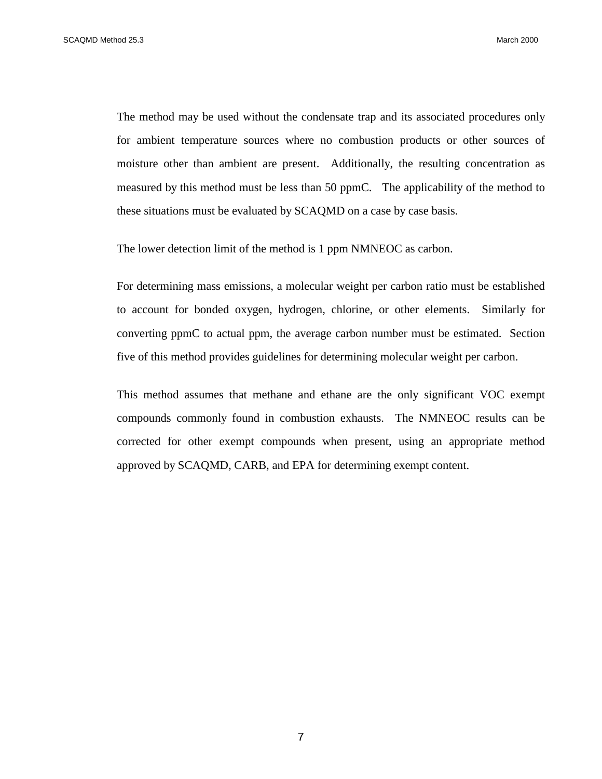The method may be used without the condensate trap and its associated procedures only for ambient temperature sources where no combustion products or other sources of moisture other than ambient are present. Additionally, the resulting concentration as measured by this method must be less than 50 ppmC. The applicability of the method to these situations must be evaluated by SCAQMD on a case by case basis.

The lower detection limit of the method is 1 ppm NMNEOC as carbon.

For determining mass emissions, a molecular weight per carbon ratio must be established to account for bonded oxygen, hydrogen, chlorine, or other elements. Similarly for converting ppmC to actual ppm, the average carbon number must be estimated. Section five of this method provides guidelines for determining molecular weight per carbon.

This method assumes that methane and ethane are the only significant VOC exempt compounds commonly found in combustion exhausts. The NMNEOC results can be corrected for other exempt compounds when present, using an appropriate method approved by SCAQMD, CARB, and EPA for determining exempt content.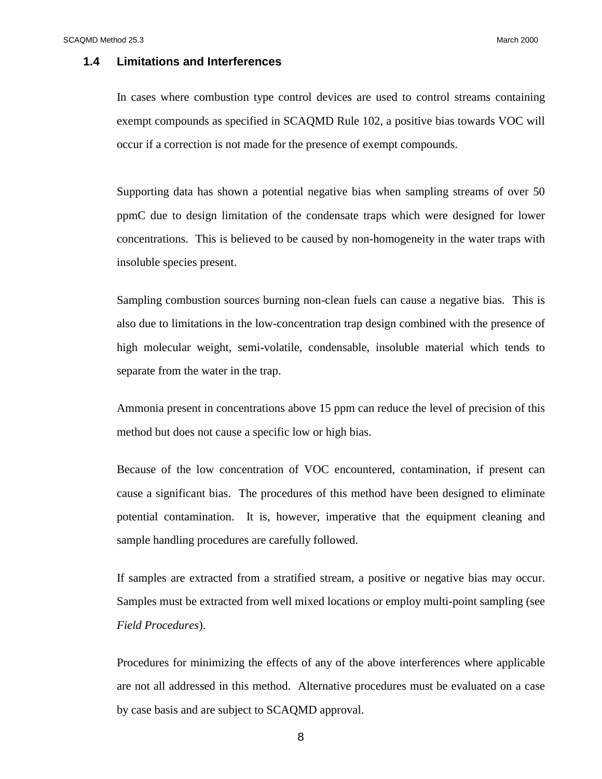## **1.4 Limitations and Interferences**

In cases where combustion type control devices are used to control streams containing exempt compounds as specified in SCAQMD Rule 102, a positive bias towards VOC will occur if a correction is not made for the presence of exempt compounds.

Supporting data has shown a potential negative bias when sampling streams of over 50 ppmC due to design limitation of the condensate traps which were designed for lower concentrations. This is believed to be caused by non-homogeneity in the water traps with insoluble species present.

Sampling combustion sources burning non-clean fuels can cause a negative bias. This is also due to limitations in the low-concentration trap design combined with the presence of high molecular weight, semi-volatile, condensable, insoluble material which tends to separate from the water in the trap.

Ammonia present in concentrations above 15 ppm can reduce the level of precision of this method but does not cause a specific low or high bias.

Because of the low concentration of VOC encountered, contamination, if present can cause a significant bias. The procedures of this method have been designed to eliminate potential contamination. It is, however, imperative that the equipment cleaning and sample handling procedures are carefully followed.

If samples are extracted from a stratified stream, a positive or negative bias may occur. Samples must be extracted from well mixed locations or employ multi-point sampling (see *Field Procedures*).

Procedures for minimizing the effects of any of the above interferences where applicable are not all addressed in this method. Alternative procedures must be evaluated on a case by case basis and are subject to SCAQMD approval.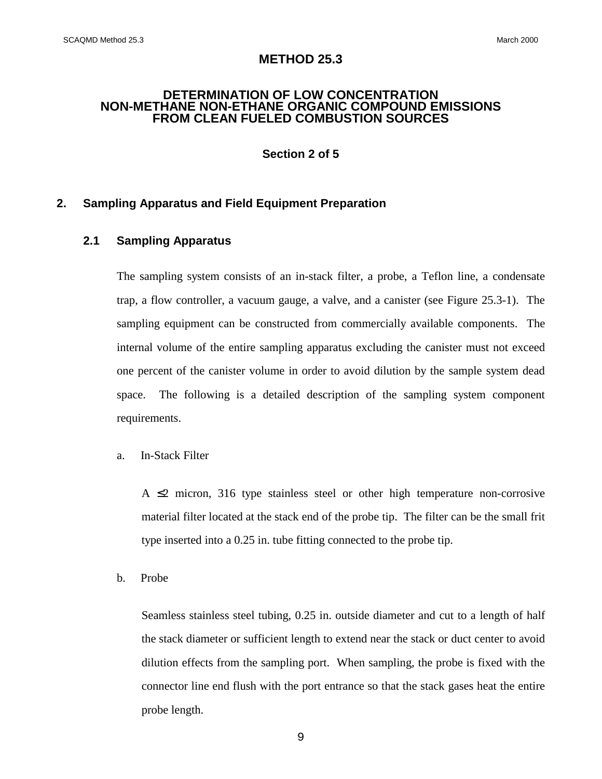## **METHOD 25.3**

#### **DETERMINATION OF LOW CONCENTRATION NON-METHANE NON-ETHANE ORGANIC COMPOUND EMISSIONS FROM CLEAN FUELED COMBUSTION SOURCES**

**Section 2 of 5**

## **2. Sampling Apparatus and Field Equipment Preparation**

## **2.1 Sampling Apparatus**

The sampling system consists of an in-stack filter, a probe, a Teflon line, a condensate trap, a flow controller, a vacuum gauge, a valve, and a canister (see Figure 25.3-1). The sampling equipment can be constructed from commercially available components. The internal volume of the entire sampling apparatus excluding the canister must not exceed one percent of the canister volume in order to avoid dilution by the sample system dead space. The following is a detailed description of the sampling system component requirements.

#### a. In-Stack Filter

A  $\leq$  micron, 316 type stainless steel or other high temperature non-corrosive material filter located at the stack end of the probe tip. The filter can be the small frit type inserted into a 0.25 in. tube fitting connected to the probe tip.

b. Probe

Seamless stainless steel tubing, 0.25 in. outside diameter and cut to a length of half the stack diameter or sufficient length to extend near the stack or duct center to avoid dilution effects from the sampling port. When sampling, the probe is fixed with the connector line end flush with the port entrance so that the stack gases heat the entire probe length.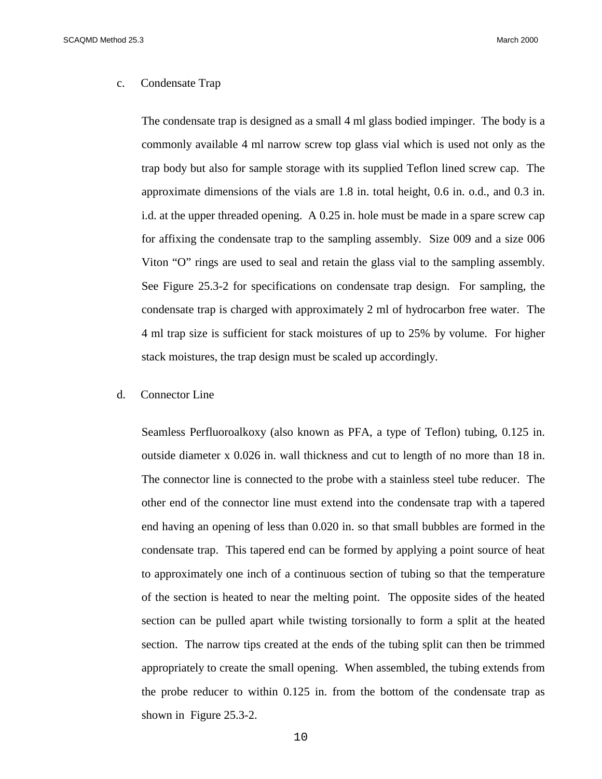#### c. Condensate Trap

The condensate trap is designed as a small 4 ml glass bodied impinger. The body is a commonly available 4 ml narrow screw top glass vial which is used not only as the trap body but also for sample storage with its supplied Teflon lined screw cap. The approximate dimensions of the vials are 1.8 in. total height, 0.6 in. o.d., and 0.3 in. i.d. at the upper threaded opening. A 0.25 in. hole must be made in a spare screw cap for affixing the condensate trap to the sampling assembly. Size 009 and a size 006 Viton "O" rings are used to seal and retain the glass vial to the sampling assembly. See Figure 25.3-2 for specifications on condensate trap design. For sampling, the condensate trap is charged with approximately 2 ml of hydrocarbon free water. The 4 ml trap size is sufficient for stack moistures of up to 25% by volume. For higher stack moistures, the trap design must be scaled up accordingly.

#### d. Connector Line

Seamless Perfluoroalkoxy (also known as PFA, a type of Teflon) tubing, 0.125 in. outside diameter x 0.026 in. wall thickness and cut to length of no more than 18 in. The connector line is connected to the probe with a stainless steel tube reducer. The other end of the connector line must extend into the condensate trap with a tapered end having an opening of less than 0.020 in. so that small bubbles are formed in the condensate trap. This tapered end can be formed by applying a point source of heat to approximately one inch of a continuous section of tubing so that the temperature of the section is heated to near the melting point. The opposite sides of the heated section can be pulled apart while twisting torsionally to form a split at the heated section. The narrow tips created at the ends of the tubing split can then be trimmed appropriately to create the small opening. When assembled, the tubing extends from the probe reducer to within 0.125 in. from the bottom of the condensate trap as shown in Figure 25.3-2.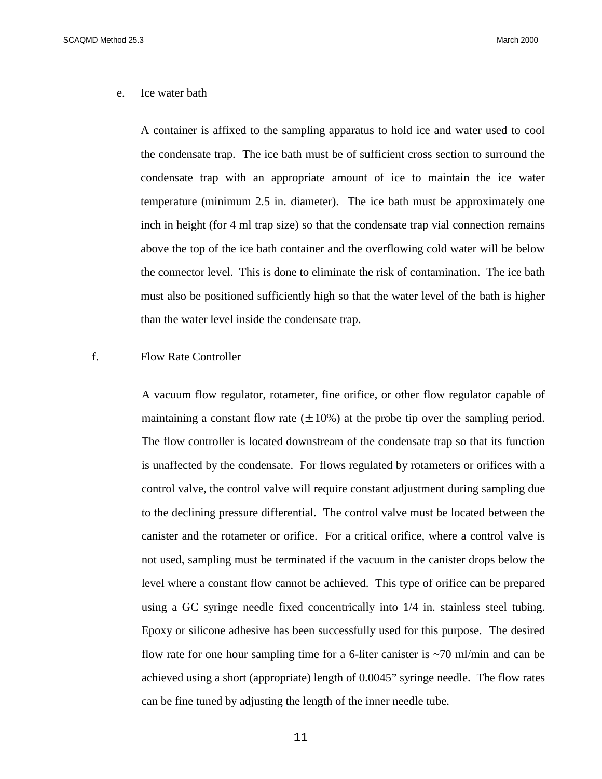e. Ice water bath

A container is affixed to the sampling apparatus to hold ice and water used to cool the condensate trap. The ice bath must be of sufficient cross section to surround the condensate trap with an appropriate amount of ice to maintain the ice water temperature (minimum 2.5 in. diameter). The ice bath must be approximately one inch in height (for 4 ml trap size) so that the condensate trap vial connection remains above the top of the ice bath container and the overflowing cold water will be below the connector level. This is done to eliminate the risk of contamination. The ice bath must also be positioned sufficiently high so that the water level of the bath is higher than the water level inside the condensate trap.

## f. Flow Rate Controller

A vacuum flow regulator, rotameter, fine orifice, or other flow regulator capable of maintaining a constant flow rate  $(\pm 10\%)$  at the probe tip over the sampling period. The flow controller is located downstream of the condensate trap so that its function is unaffected by the condensate. For flows regulated by rotameters or orifices with a control valve, the control valve will require constant adjustment during sampling due to the declining pressure differential. The control valve must be located between the canister and the rotameter or orifice. For a critical orifice, where a control valve is not used, sampling must be terminated if the vacuum in the canister drops below the level where a constant flow cannot be achieved. This type of orifice can be prepared using a GC syringe needle fixed concentrically into 1/4 in. stainless steel tubing. Epoxy or silicone adhesive has been successfully used for this purpose. The desired flow rate for one hour sampling time for a 6-liter canister is ~70 ml/min and can be achieved using a short (appropriate) length of 0.0045" syringe needle. The flow rates can be fine tuned by adjusting the length of the inner needle tube.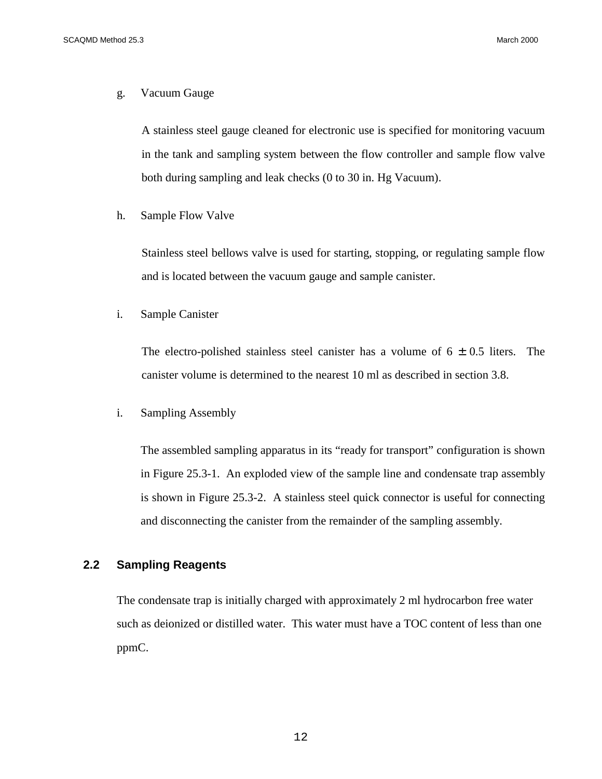#### g. Vacuum Gauge

A stainless steel gauge cleaned for electronic use is specified for monitoring vacuum in the tank and sampling system between the flow controller and sample flow valve both during sampling and leak checks (0 to 30 in. Hg Vacuum).

h. Sample Flow Valve

Stainless steel bellows valve is used for starting, stopping, or regulating sample flow and is located between the vacuum gauge and sample canister.

i. Sample Canister

The electro-polished stainless steel canister has a volume of  $6 \pm 0.5$  liters. The canister volume is determined to the nearest 10 ml as described in section 3.8.

i. Sampling Assembly

The assembled sampling apparatus in its "ready for transport" configuration is shown in Figure 25.3-1. An exploded view of the sample line and condensate trap assembly is shown in Figure 25.3-2. A stainless steel quick connector is useful for connecting and disconnecting the canister from the remainder of the sampling assembly.

## **2.2 Sampling Reagents**

The condensate trap is initially charged with approximately 2 ml hydrocarbon free water such as deionized or distilled water. This water must have a TOC content of less than one ppmC.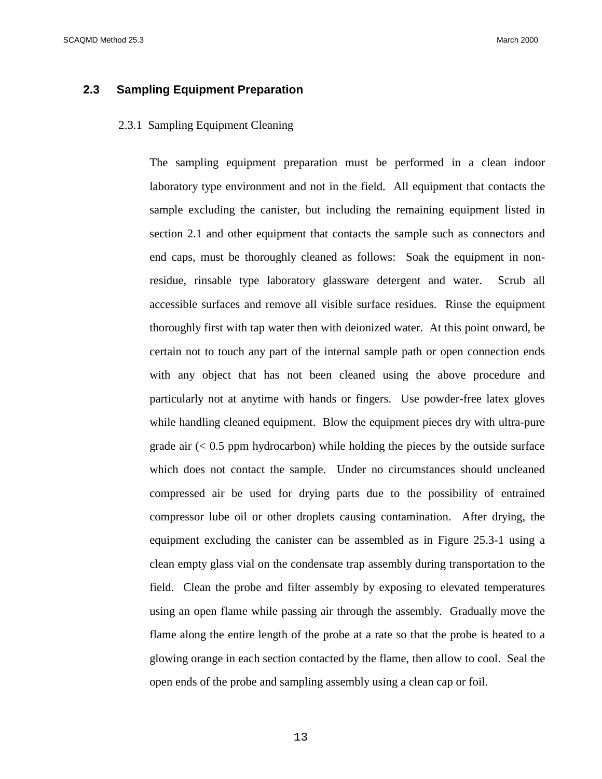## **2.3 Sampling Equipment Preparation**

#### 2.3.1 Sampling Equipment Cleaning

The sampling equipment preparation must be performed in a clean indoor laboratory type environment and not in the field. All equipment that contacts the sample excluding the canister, but including the remaining equipment listed in section 2.1 and other equipment that contacts the sample such as connectors and end caps, must be thoroughly cleaned as follows: Soak the equipment in nonresidue, rinsable type laboratory glassware detergent and water. Scrub all accessible surfaces and remove all visible surface residues. Rinse the equipment thoroughly first with tap water then with deionized water. At this point onward, be certain not to touch any part of the internal sample path or open connection ends with any object that has not been cleaned using the above procedure and particularly not at anytime with hands or fingers. Use powder-free latex gloves while handling cleaned equipment. Blow the equipment pieces dry with ultra-pure grade air  $(< 0.5$  ppm hydrocarbon) while holding the pieces by the outside surface which does not contact the sample. Under no circumstances should uncleaned compressed air be used for drying parts due to the possibility of entrained compressor lube oil or other droplets causing contamination. After drying, the equipment excluding the canister can be assembled as in Figure 25.3-1 using a clean empty glass vial on the condensate trap assembly during transportation to the field. Clean the probe and filter assembly by exposing to elevated temperatures using an open flame while passing air through the assembly. Gradually move the flame along the entire length of the probe at a rate so that the probe is heated to a glowing orange in each section contacted by the flame, then allow to cool. Seal the open ends of the probe and sampling assembly using a clean cap or foil.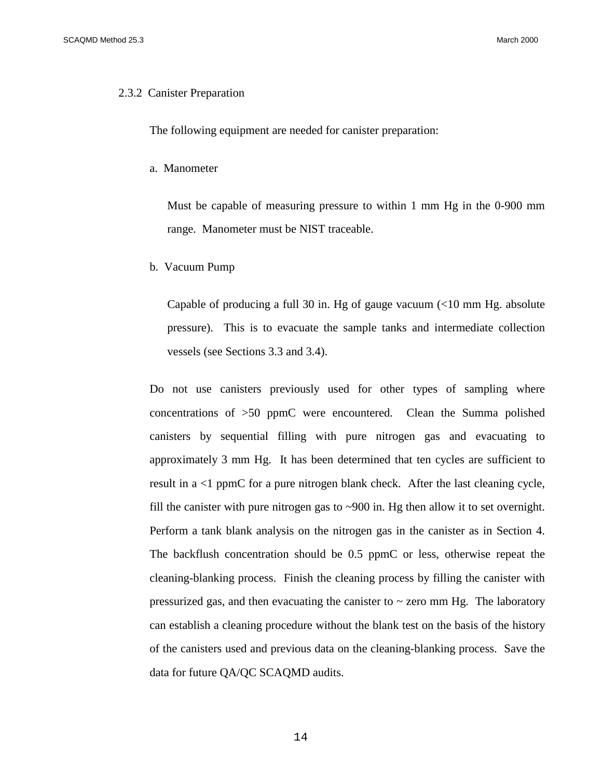#### 2.3.2 Canister Preparation

The following equipment are needed for canister preparation:

a. Manometer

Must be capable of measuring pressure to within 1 mm Hg in the 0-900 mm range. Manometer must be NIST traceable.

b. Vacuum Pump

Capable of producing a full 30 in. Hg of gauge vacuum  $\ll 10$  mm Hg. absolute pressure). This is to evacuate the sample tanks and intermediate collection vessels (see Sections 3.3 and 3.4).

Do not use canisters previously used for other types of sampling where concentrations of >50 ppmC were encountered. Clean the Summa polished canisters by sequential filling with pure nitrogen gas and evacuating to approximately 3 mm Hg. It has been determined that ten cycles are sufficient to result in a <1 ppmC for a pure nitrogen blank check. After the last cleaning cycle, fill the canister with pure nitrogen gas to  $\sim$ 900 in. Hg then allow it to set overnight. Perform a tank blank analysis on the nitrogen gas in the canister as in Section 4. The backflush concentration should be 0.5 ppmC or less, otherwise repeat the cleaning-blanking process. Finish the cleaning process by filling the canister with pressurized gas, and then evacuating the canister to  $\sim$  zero mm Hg. The laboratory can establish a cleaning procedure without the blank test on the basis of the history of the canisters used and previous data on the cleaning-blanking process. Save the data for future QA/QC SCAQMD audits.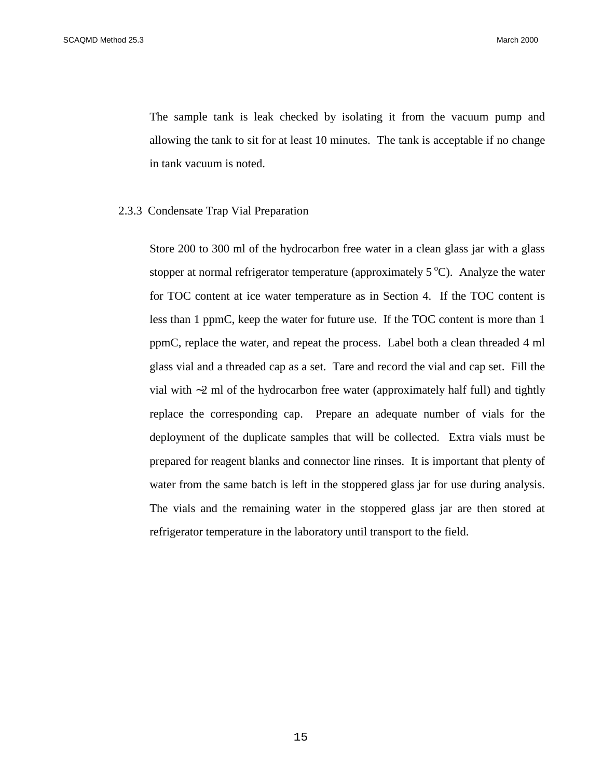The sample tank is leak checked by isolating it from the vacuum pump and allowing the tank to sit for at least 10 minutes. The tank is acceptable if no change in tank vacuum is noted.

#### 2.3.3 Condensate Trap Vial Preparation

Store 200 to 300 ml of the hydrocarbon free water in a clean glass jar with a glass stopper at normal refrigerator temperature (approximately  $5^{\circ}$ C). Analyze the water for TOC content at ice water temperature as in Section 4. If the TOC content is less than 1 ppmC, keep the water for future use. If the TOC content is more than 1 ppmC, replace the water, and repeat the process. Label both a clean threaded 4 ml glass vial and a threaded cap as a set. Tare and record the vial and cap set. Fill the vial with ∼2 ml of the hydrocarbon free water (approximately half full) and tightly replace the corresponding cap. Prepare an adequate number of vials for the deployment of the duplicate samples that will be collected. Extra vials must be prepared for reagent blanks and connector line rinses. It is important that plenty of water from the same batch is left in the stoppered glass jar for use during analysis. The vials and the remaining water in the stoppered glass jar are then stored at refrigerator temperature in the laboratory until transport to the field.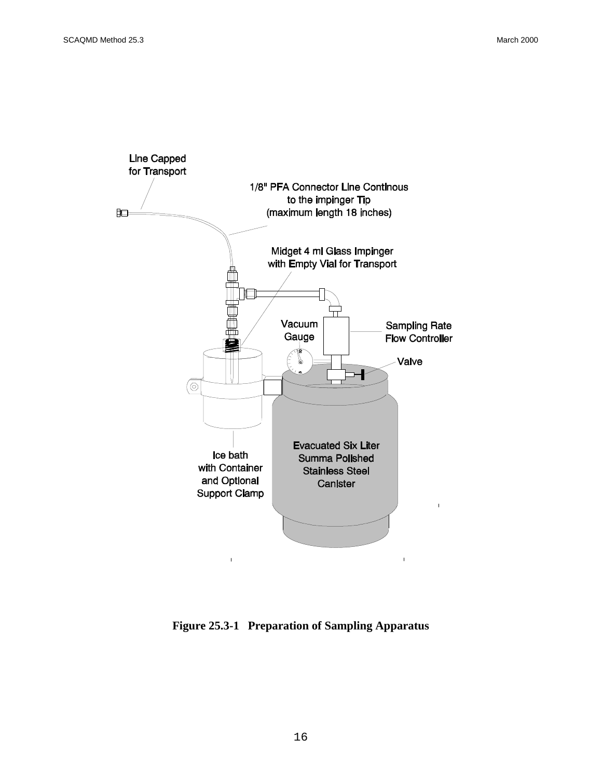

**Figure 25.3-1 Preparation of Sampling Apparatus**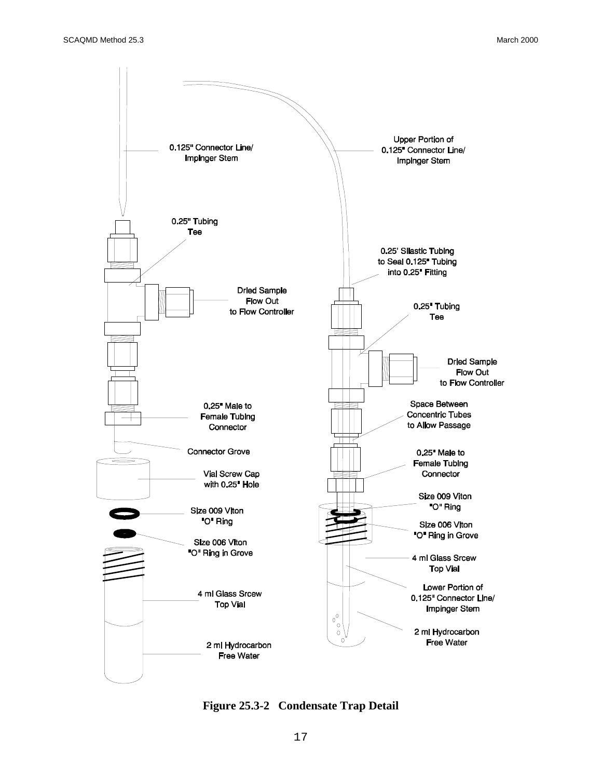

**Figure 25.3-2 Condensate Trap Detail**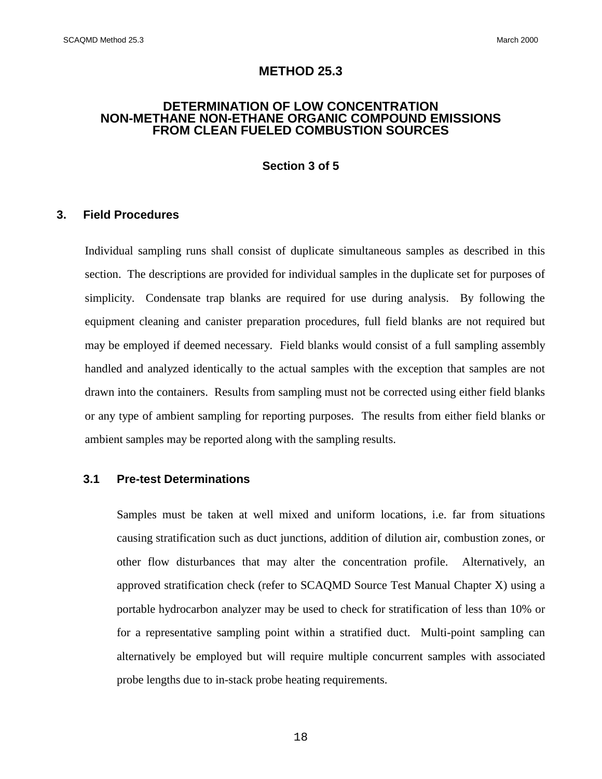## **METHOD 25.3**

#### **DETERMINATION OF LOW CONCENTRATION NON-METHANE NON-ETHANE ORGANIC COMPOUND EMISSIONS FROM CLEAN FUELED COMBUSTION SOURCES**

#### **Section 3 of 5**

#### **3. Field Procedures**

Individual sampling runs shall consist of duplicate simultaneous samples as described in this section. The descriptions are provided for individual samples in the duplicate set for purposes of simplicity. Condensate trap blanks are required for use during analysis. By following the equipment cleaning and canister preparation procedures, full field blanks are not required but may be employed if deemed necessary. Field blanks would consist of a full sampling assembly handled and analyzed identically to the actual samples with the exception that samples are not drawn into the containers. Results from sampling must not be corrected using either field blanks or any type of ambient sampling for reporting purposes. The results from either field blanks or ambient samples may be reported along with the sampling results.

## **3.1 Pre-test Determinations**

Samples must be taken at well mixed and uniform locations, i.e. far from situations causing stratification such as duct junctions, addition of dilution air, combustion zones, or other flow disturbances that may alter the concentration profile. Alternatively, an approved stratification check (refer to SCAQMD Source Test Manual Chapter X) using a portable hydrocarbon analyzer may be used to check for stratification of less than 10% or for a representative sampling point within a stratified duct. Multi-point sampling can alternatively be employed but will require multiple concurrent samples with associated probe lengths due to in-stack probe heating requirements.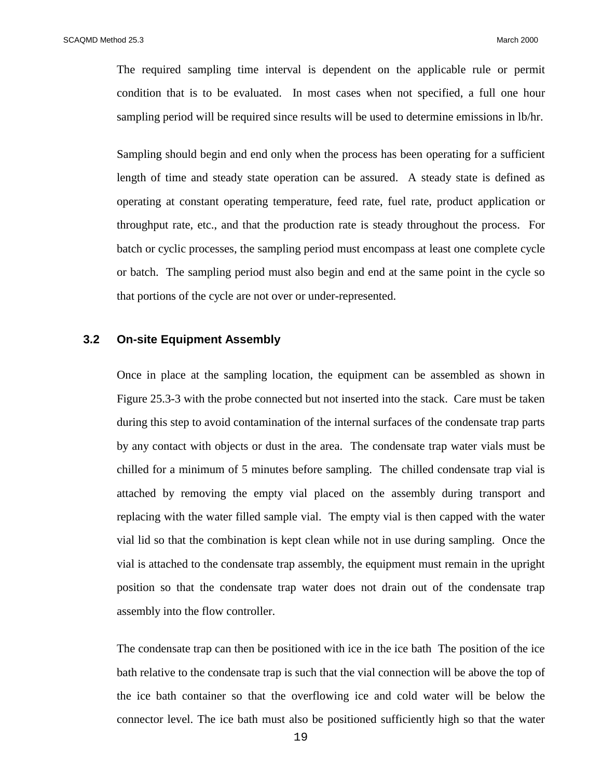The required sampling time interval is dependent on the applicable rule or permit condition that is to be evaluated. In most cases when not specified, a full one hour sampling period will be required since results will be used to determine emissions in lb/hr.

Sampling should begin and end only when the process has been operating for a sufficient length of time and steady state operation can be assured. A steady state is defined as operating at constant operating temperature, feed rate, fuel rate, product application or throughput rate, etc., and that the production rate is steady throughout the process. For batch or cyclic processes, the sampling period must encompass at least one complete cycle or batch. The sampling period must also begin and end at the same point in the cycle so that portions of the cycle are not over or under-represented.

#### **3.2 On-site Equipment Assembly**

Once in place at the sampling location, the equipment can be assembled as shown in Figure 25.3-3 with the probe connected but not inserted into the stack. Care must be taken during this step to avoid contamination of the internal surfaces of the condensate trap parts by any contact with objects or dust in the area. The condensate trap water vials must be chilled for a minimum of 5 minutes before sampling. The chilled condensate trap vial is attached by removing the empty vial placed on the assembly during transport and replacing with the water filled sample vial. The empty vial is then capped with the water vial lid so that the combination is kept clean while not in use during sampling. Once the vial is attached to the condensate trap assembly, the equipment must remain in the upright position so that the condensate trap water does not drain out of the condensate trap assembly into the flow controller.

The condensate trap can then be positioned with ice in the ice bath The position of the ice bath relative to the condensate trap is such that the vial connection will be above the top of the ice bath container so that the overflowing ice and cold water will be below the connector level. The ice bath must also be positioned sufficiently high so that the water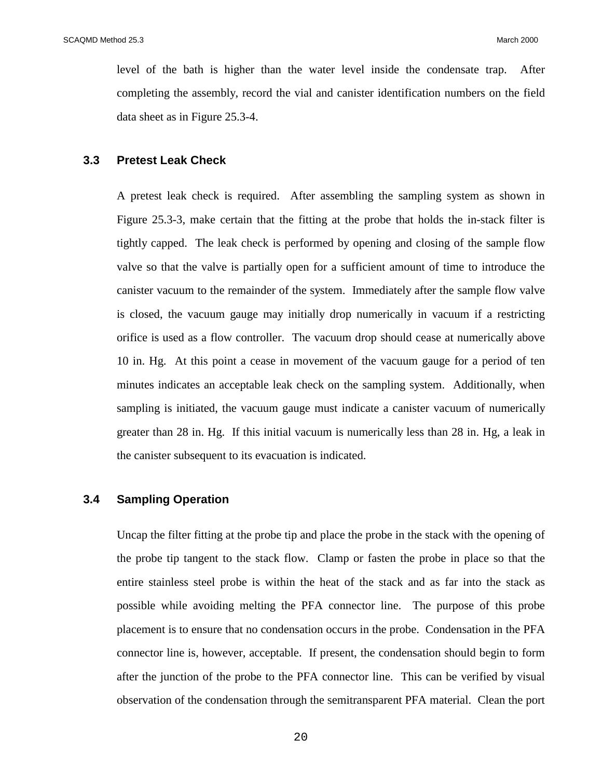level of the bath is higher than the water level inside the condensate trap. After completing the assembly, record the vial and canister identification numbers on the field data sheet as in Figure 25.3-4.

#### **3.3 Pretest Leak Check**

A pretest leak check is required. After assembling the sampling system as shown in Figure 25.3-3, make certain that the fitting at the probe that holds the in-stack filter is tightly capped. The leak check is performed by opening and closing of the sample flow valve so that the valve is partially open for a sufficient amount of time to introduce the canister vacuum to the remainder of the system. Immediately after the sample flow valve is closed, the vacuum gauge may initially drop numerically in vacuum if a restricting orifice is used as a flow controller. The vacuum drop should cease at numerically above 10 in. Hg. At this point a cease in movement of the vacuum gauge for a period of ten minutes indicates an acceptable leak check on the sampling system. Additionally, when sampling is initiated, the vacuum gauge must indicate a canister vacuum of numerically greater than 28 in. Hg. If this initial vacuum is numerically less than 28 in. Hg, a leak in the canister subsequent to its evacuation is indicated.

#### **3.4 Sampling Operation**

Uncap the filter fitting at the probe tip and place the probe in the stack with the opening of the probe tip tangent to the stack flow. Clamp or fasten the probe in place so that the entire stainless steel probe is within the heat of the stack and as far into the stack as possible while avoiding melting the PFA connector line. The purpose of this probe placement is to ensure that no condensation occurs in the probe. Condensation in the PFA connector line is, however, acceptable. If present, the condensation should begin to form after the junction of the probe to the PFA connector line. This can be verified by visual observation of the condensation through the semitransparent PFA material. Clean the port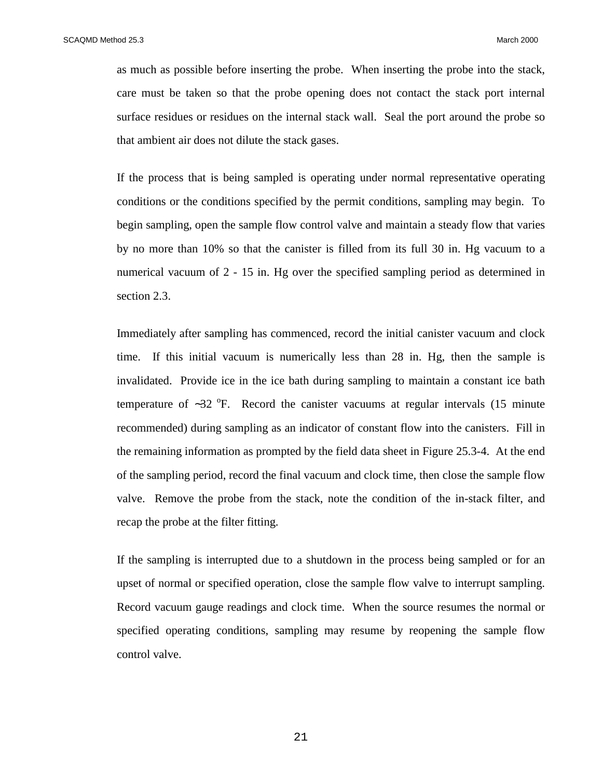as much as possible before inserting the probe. When inserting the probe into the stack, care must be taken so that the probe opening does not contact the stack port internal surface residues or residues on the internal stack wall. Seal the port around the probe so that ambient air does not dilute the stack gases.

If the process that is being sampled is operating under normal representative operating conditions or the conditions specified by the permit conditions, sampling may begin. To begin sampling, open the sample flow control valve and maintain a steady flow that varies by no more than 10% so that the canister is filled from its full 30 in. Hg vacuum to a numerical vacuum of 2 - 15 in. Hg over the specified sampling period as determined in section 2.3.

Immediately after sampling has commenced, record the initial canister vacuum and clock time. If this initial vacuum is numerically less than 28 in. Hg, then the sample is invalidated. Provide ice in the ice bath during sampling to maintain a constant ice bath temperature of  $~\sim$ 32 °F. Record the canister vacuums at regular intervals (15 minute recommended) during sampling as an indicator of constant flow into the canisters. Fill in the remaining information as prompted by the field data sheet in Figure 25.3-4. At the end of the sampling period, record the final vacuum and clock time, then close the sample flow valve. Remove the probe from the stack, note the condition of the in-stack filter, and recap the probe at the filter fitting.

If the sampling is interrupted due to a shutdown in the process being sampled or for an upset of normal or specified operation, close the sample flow valve to interrupt sampling. Record vacuum gauge readings and clock time. When the source resumes the normal or specified operating conditions, sampling may resume by reopening the sample flow control valve.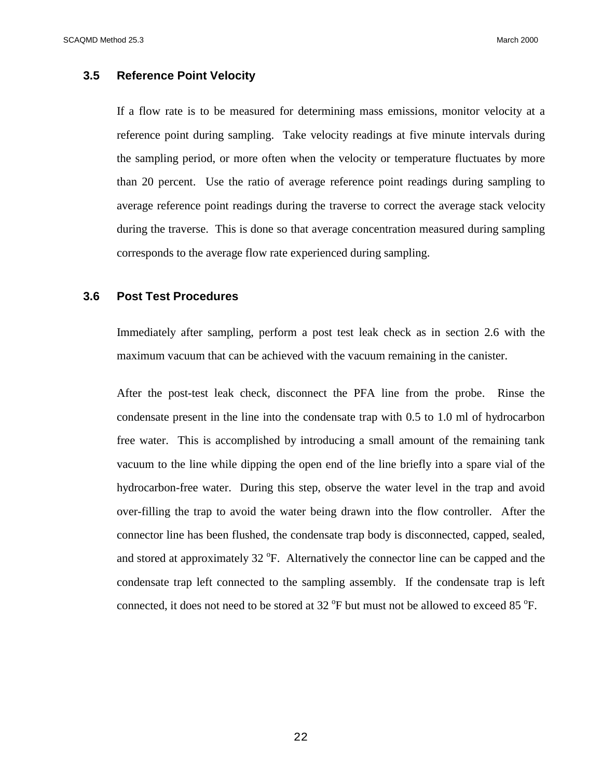## **3.5 Reference Point Velocity**

If a flow rate is to be measured for determining mass emissions, monitor velocity at a reference point during sampling. Take velocity readings at five minute intervals during the sampling period, or more often when the velocity or temperature fluctuates by more than 20 percent. Use the ratio of average reference point readings during sampling to average reference point readings during the traverse to correct the average stack velocity during the traverse. This is done so that average concentration measured during sampling corresponds to the average flow rate experienced during sampling.

#### **3.6 Post Test Procedures**

Immediately after sampling, perform a post test leak check as in section 2.6 with the maximum vacuum that can be achieved with the vacuum remaining in the canister.

After the post-test leak check, disconnect the PFA line from the probe. Rinse the condensate present in the line into the condensate trap with 0.5 to 1.0 ml of hydrocarbon free water. This is accomplished by introducing a small amount of the remaining tank vacuum to the line while dipping the open end of the line briefly into a spare vial of the hydrocarbon-free water. During this step, observe the water level in the trap and avoid over-filling the trap to avoid the water being drawn into the flow controller. After the connector line has been flushed, the condensate trap body is disconnected, capped, sealed, and stored at approximately  $32^{\circ}$ F. Alternatively the connector line can be capped and the condensate trap left connected to the sampling assembly. If the condensate trap is left connected, it does not need to be stored at  $32^{\circ}$ F but must not be allowed to exceed 85  $^{\circ}$ F.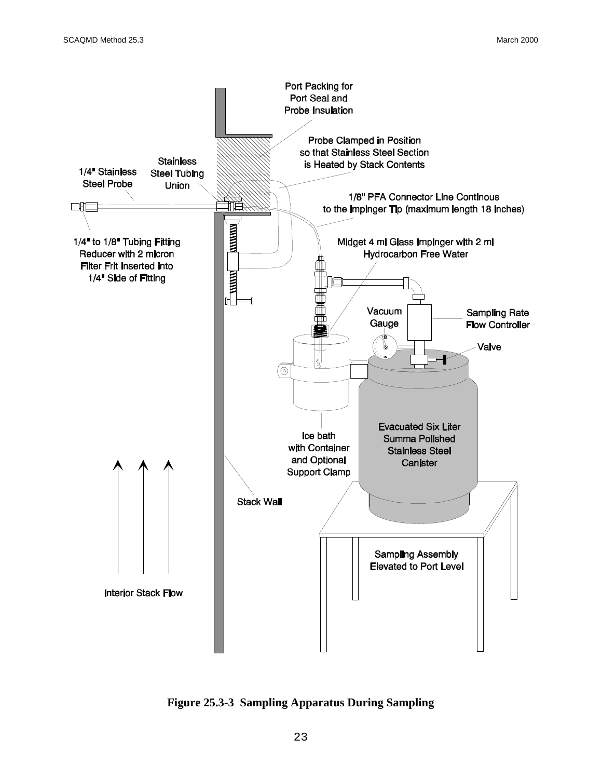

**Figure 25.3-3 Sampling Apparatus During Sampling**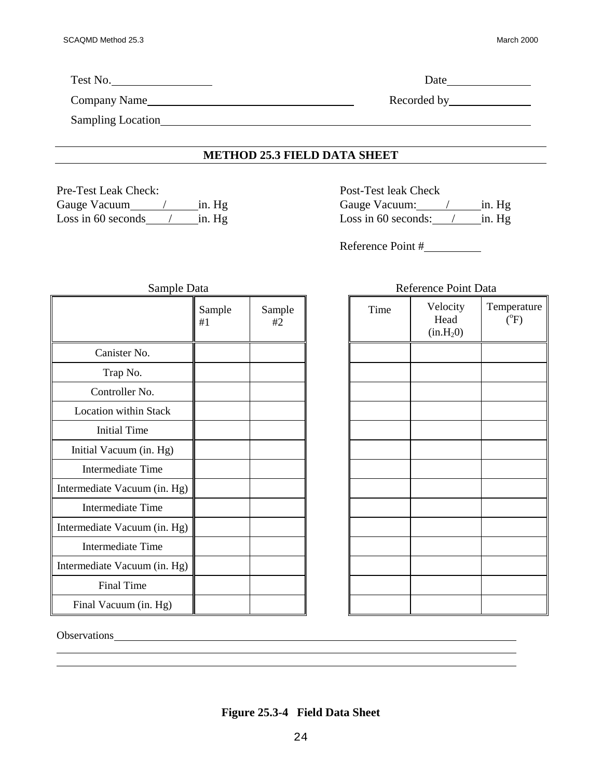| Test No.          | Date and the same state of the state of the state of the state of the state of the state of the state of the state of the state of the state of the state of the state of the state of the state of the state of the state of |
|-------------------|-------------------------------------------------------------------------------------------------------------------------------------------------------------------------------------------------------------------------------|
| Company Name      |                                                                                                                                                                                                                               |
| Sampling Location |                                                                                                                                                                                                                               |
|                   | METION 35 2 EIELD DATA CHEET                                                                                                                                                                                                  |

#### **METHOD 25.3 FIELD DATA SHEET**

Pre-Test Leak Check: Post-Test leak Check

Gauge Vacuum / in. Hg Gauge Vacuum: / in. Hg Loss in 60 seconds / in. Hg Loss in 60 seconds: / in. Hg

Reference Point #

| Sample Data                  |              |              |  |  |  |
|------------------------------|--------------|--------------|--|--|--|
|                              | Sample<br>#1 | Sample<br>#2 |  |  |  |
| Canister No.                 |              |              |  |  |  |
| Trap No.                     |              |              |  |  |  |
| Controller No.               |              |              |  |  |  |
| <b>Location within Stack</b> |              |              |  |  |  |
| <b>Initial Time</b>          |              |              |  |  |  |
| Initial Vacuum (in. Hg)      |              |              |  |  |  |
| Intermediate Time            |              |              |  |  |  |
| Intermediate Vacuum (in. Hg) |              |              |  |  |  |
| Intermediate Time            |              |              |  |  |  |
| Intermediate Vacuum (in. Hg) |              |              |  |  |  |
| Intermediate Time            |              |              |  |  |  |
| Intermediate Vacuum (in. Hg) |              |              |  |  |  |
| <b>Final Time</b>            |              |              |  |  |  |
| Final Vacuum (in. Hg)        |              |              |  |  |  |

| Reference Point Data |                                           |                                    |  |  |  |
|----------------------|-------------------------------------------|------------------------------------|--|--|--|
| Time                 | Velocity<br>Head<br>(in.H <sub>2</sub> 0) | Temperature<br>$\rm \tilde{(}^oF)$ |  |  |  |
|                      |                                           |                                    |  |  |  |
|                      |                                           |                                    |  |  |  |
|                      |                                           |                                    |  |  |  |
|                      |                                           |                                    |  |  |  |
|                      |                                           |                                    |  |  |  |
|                      |                                           |                                    |  |  |  |
|                      |                                           |                                    |  |  |  |
|                      |                                           |                                    |  |  |  |
|                      |                                           |                                    |  |  |  |
|                      |                                           |                                    |  |  |  |
|                      |                                           |                                    |  |  |  |
|                      |                                           |                                    |  |  |  |
|                      |                                           |                                    |  |  |  |

Observations of the contract of the contract of the contract of the contract of the contract of the contract of the contract of the contract of the contract of the contract of the contract of the contract of the contract o

 $\overline{a}$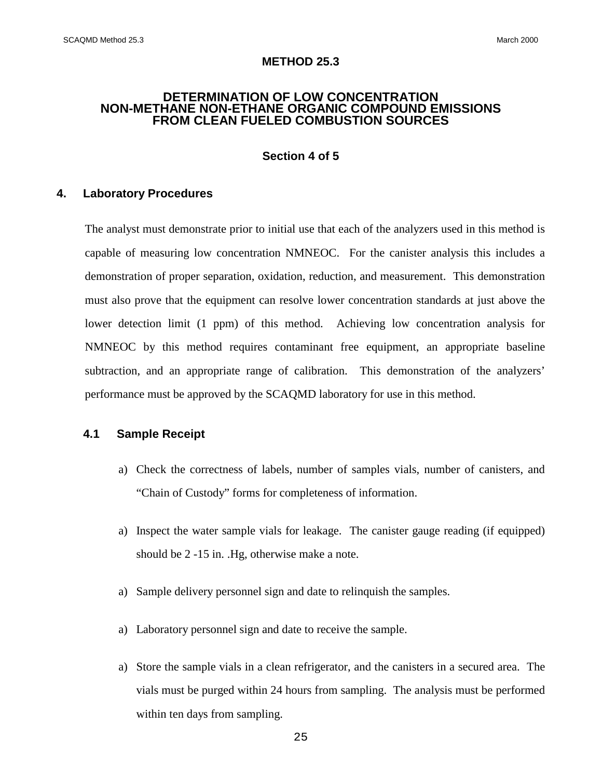#### **METHOD 25.3**

#### **DETERMINATION OF LOW CONCENTRATION NON-METHANE NON-ETHANE ORGANIC COMPOUND EMISSIONS FROM CLEAN FUELED COMBUSTION SOURCES**

## **Section 4 of 5**

#### **4. Laboratory Procedures**

The analyst must demonstrate prior to initial use that each of the analyzers used in this method is capable of measuring low concentration NMNEOC. For the canister analysis this includes a demonstration of proper separation, oxidation, reduction, and measurement. This demonstration must also prove that the equipment can resolve lower concentration standards at just above the lower detection limit (1 ppm) of this method. Achieving low concentration analysis for NMNEOC by this method requires contaminant free equipment, an appropriate baseline subtraction, and an appropriate range of calibration. This demonstration of the analyzers' performance must be approved by the SCAQMD laboratory for use in this method.

#### **4.1 Sample Receipt**

- a) Check the correctness of labels, number of samples vials, number of canisters, and "Chain of Custody" forms for completeness of information.
- a) Inspect the water sample vials for leakage. The canister gauge reading (if equipped) should be 2 -15 in. .Hg, otherwise make a note.
- a) Sample delivery personnel sign and date to relinquish the samples.
- a) Laboratory personnel sign and date to receive the sample.
- a) Store the sample vials in a clean refrigerator, and the canisters in a secured area. The vials must be purged within 24 hours from sampling. The analysis must be performed within ten days from sampling.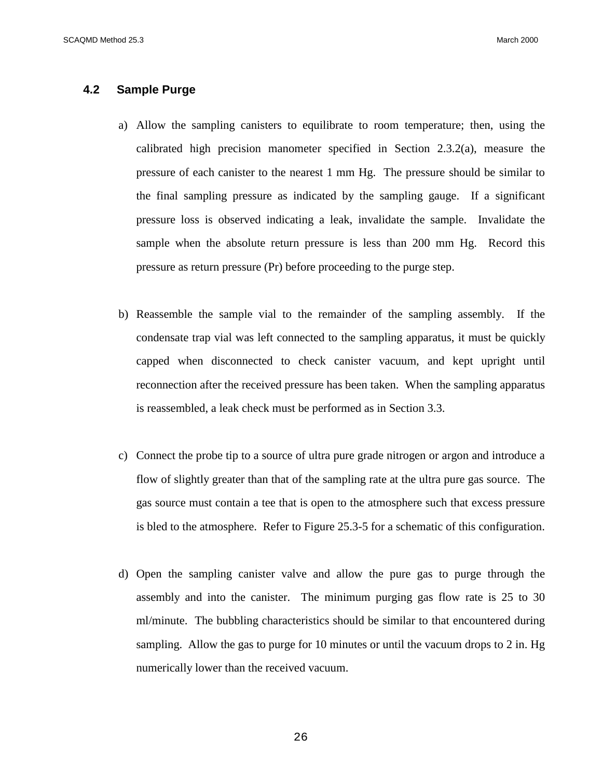## **4.2 Sample Purge**

- a) Allow the sampling canisters to equilibrate to room temperature; then, using the calibrated high precision manometer specified in Section 2.3.2(a), measure the pressure of each canister to the nearest 1 mm Hg. The pressure should be similar to the final sampling pressure as indicated by the sampling gauge. If a significant pressure loss is observed indicating a leak, invalidate the sample. Invalidate the sample when the absolute return pressure is less than 200 mm Hg. Record this pressure as return pressure (Pr) before proceeding to the purge step.
- b) Reassemble the sample vial to the remainder of the sampling assembly. If the condensate trap vial was left connected to the sampling apparatus, it must be quickly capped when disconnected to check canister vacuum, and kept upright until reconnection after the received pressure has been taken. When the sampling apparatus is reassembled, a leak check must be performed as in Section 3.3.
- c) Connect the probe tip to a source of ultra pure grade nitrogen or argon and introduce a flow of slightly greater than that of the sampling rate at the ultra pure gas source. The gas source must contain a tee that is open to the atmosphere such that excess pressure is bled to the atmosphere. Refer to Figure 25.3-5 for a schematic of this configuration.
- d) Open the sampling canister valve and allow the pure gas to purge through the assembly and into the canister. The minimum purging gas flow rate is 25 to 30 ml/minute. The bubbling characteristics should be similar to that encountered during sampling. Allow the gas to purge for 10 minutes or until the vacuum drops to 2 in. Hg numerically lower than the received vacuum.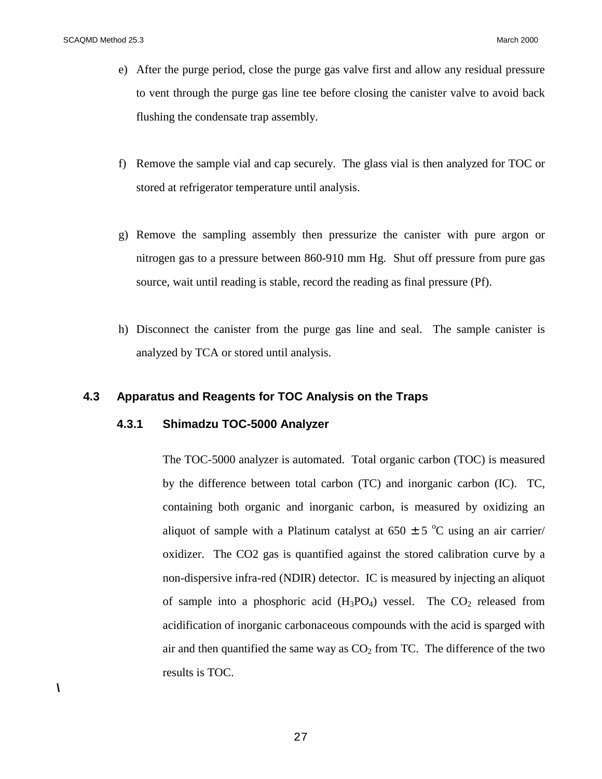- e) After the purge period, close the purge gas valve first and allow any residual pressure to vent through the purge gas line tee before closing the canister valve to avoid back flushing the condensate trap assembly.
- f) Remove the sample vial and cap securely. The glass vial is then analyzed for TOC or stored at refrigerator temperature until analysis.
- g) Remove the sampling assembly then pressurize the canister with pure argon or nitrogen gas to a pressure between 860-910 mm Hg. Shut off pressure from pure gas source, wait until reading is stable, record the reading as final pressure (Pf).
- h) Disconnect the canister from the purge gas line and seal. The sample canister is analyzed by TCA or stored until analysis.

#### **4.3 Apparatus and Reagents for TOC Analysis on the Traps**

## **4.3.1 Shimadzu TOC-5000 Analyzer**

The TOC-5000 analyzer is automated. Total organic carbon (TOC) is measured by the difference between total carbon (TC) and inorganic carbon (IC). TC, containing both organic and inorganic carbon, is measured by oxidizing an aliquot of sample with a Platinum catalyst at  $650 \pm 5$  °C using an air carrier/ oxidizer. The CO2 gas is quantified against the stored calibration curve by a non-dispersive infra-red (NDIR) detector. IC is measured by injecting an aliquot of sample into a phosphoric acid  $(H_3PO_4)$  vessel. The  $CO_2$  released from acidification of inorganic carbonaceous compounds with the acid is sparged with air and then quantified the same way as  $CO<sub>2</sub>$  from TC. The difference of the two results is TOC.

**\**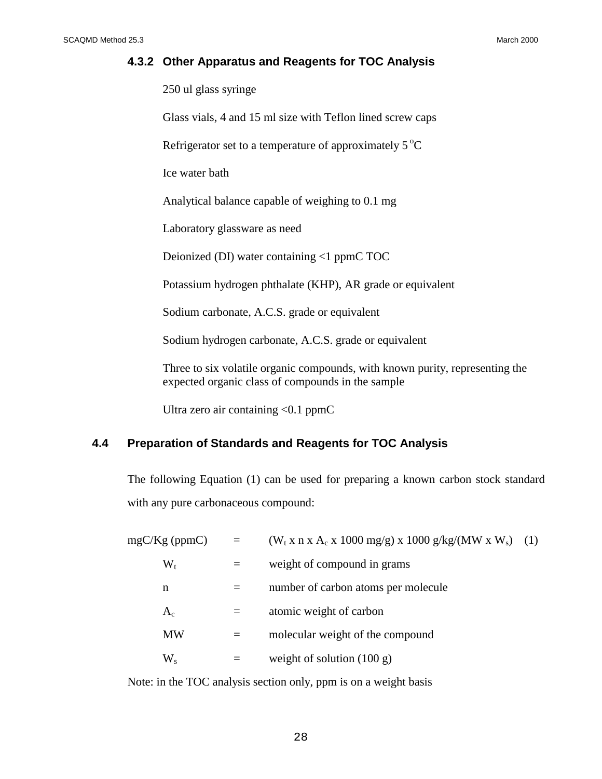## **4.3.2 Other Apparatus and Reagents for TOC Analysis**

250 ul glass syringe

Glass vials, 4 and 15 ml size with Teflon lined screw caps

Refrigerator set to a temperature of approximately  $5^{\circ}C$ 

Ice water bath

Analytical balance capable of weighing to 0.1 mg

Laboratory glassware as need

Deionized (DI) water containing <1 ppmC TOC

Potassium hydrogen phthalate (KHP), AR grade or equivalent

Sodium carbonate, A.C.S. grade or equivalent

Sodium hydrogen carbonate, A.C.S. grade or equivalent

Three to six volatile organic compounds, with known purity, representing the expected organic class of compounds in the sample

Ultra zero air containing  $< 0.1$  ppmC

## **4.4 Preparation of Standards and Reagents for TOC Analysis**

The following Equation (1) can be used for preparing a known carbon stock standard with any pure carbonaceous compound:

| $mgC/Kg$ (ppmC) |           | $=$ | $(W_t x n x A_c x 1000 mg/g) x 1000 g/kg/(MW x W_s)$ (1) |  |
|-----------------|-----------|-----|----------------------------------------------------------|--|
|                 | $W_t$     | $=$ | weight of compound in grams                              |  |
|                 | n         |     | number of carbon atoms per molecule                      |  |
|                 | $A_c$     | $=$ | atomic weight of carbon                                  |  |
|                 | <b>MW</b> | $=$ | molecular weight of the compound                         |  |
|                 | $W_{s}$   |     | weight of solution $(100 g)$                             |  |

Note: in the TOC analysis section only, ppm is on a weight basis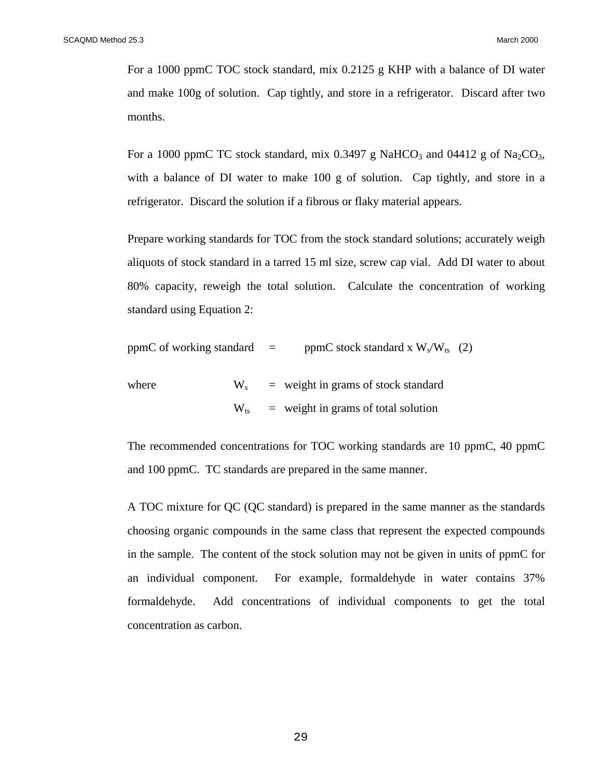For a 1000 ppmC TOC stock standard, mix 0.2125 g KHP with a balance of DI water and make 100g of solution. Cap tightly, and store in a refrigerator. Discard after two months.

For a 1000 ppmC TC stock standard, mix 0.3497 g NaHCO<sub>3</sub> and 04412 g of Na<sub>2</sub>CO<sub>3</sub>, with a balance of DI water to make 100 g of solution. Cap tightly, and store in a refrigerator. Discard the solution if a fibrous or flaky material appears.

Prepare working standards for TOC from the stock standard solutions; accurately weigh aliquots of stock standard in a tarred 15 ml size, screw cap vial. Add DI water to about 80% capacity, reweigh the total solution. Calculate the concentration of working standard using Equation 2:

ppmC of working standard  $=$  ppmC stock standard x  $W_s/W_{ts}$  (2)

where 
$$
W_s
$$
 = weight in grams of stock standard  
\n $W_{ts}$  = weight in grams of total solution

The recommended concentrations for TOC working standards are 10 ppmC, 40 ppmC and 100 ppmC. TC standards are prepared in the same manner.

A TOC mixture for QC (QC standard) is prepared in the same manner as the standards choosing organic compounds in the same class that represent the expected compounds in the sample. The content of the stock solution may not be given in units of ppmC for an individual component. For example, formaldehyde in water contains 37% formaldehyde. Add concentrations of individual components to get the total concentration as carbon.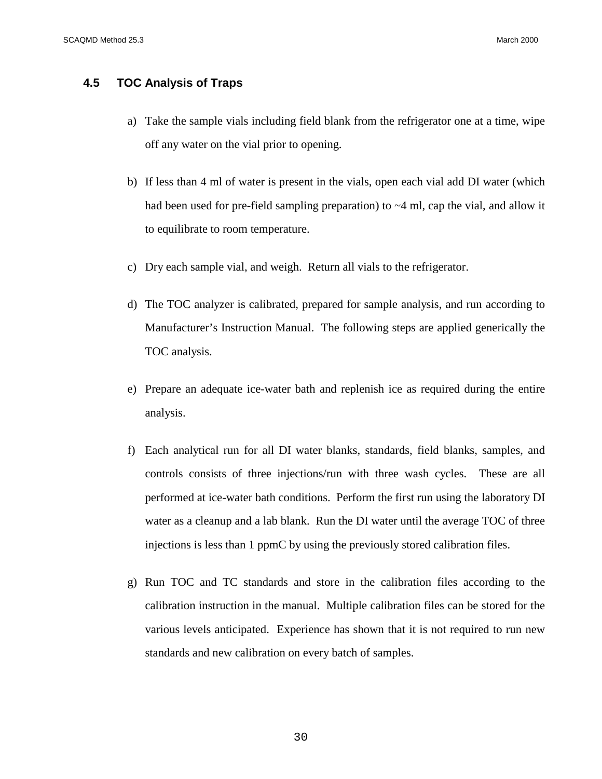## **4.5 TOC Analysis of Traps**

- a) Take the sample vials including field blank from the refrigerator one at a time, wipe off any water on the vial prior to opening.
- b) If less than 4 ml of water is present in the vials, open each vial add DI water (which had been used for pre-field sampling preparation) to  $\sim$ 4 ml, cap the vial, and allow it to equilibrate to room temperature.
- c) Dry each sample vial, and weigh. Return all vials to the refrigerator.
- d) The TOC analyzer is calibrated, prepared for sample analysis, and run according to Manufacturer's Instruction Manual. The following steps are applied generically the TOC analysis.
- e) Prepare an adequate ice-water bath and replenish ice as required during the entire analysis.
- f) Each analytical run for all DI water blanks, standards, field blanks, samples, and controls consists of three injections/run with three wash cycles. These are all performed at ice-water bath conditions. Perform the first run using the laboratory DI water as a cleanup and a lab blank. Run the DI water until the average TOC of three injections is less than 1 ppmC by using the previously stored calibration files.
- g) Run TOC and TC standards and store in the calibration files according to the calibration instruction in the manual. Multiple calibration files can be stored for the various levels anticipated. Experience has shown that it is not required to run new standards and new calibration on every batch of samples.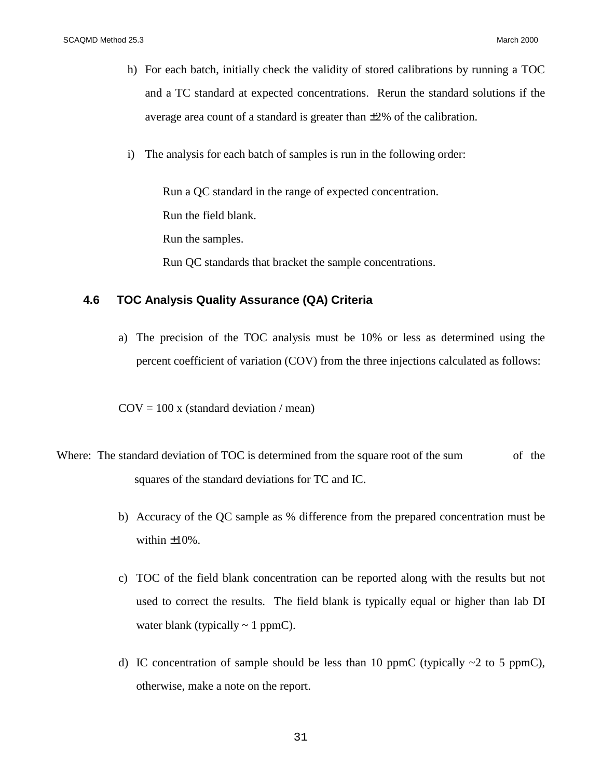- h) For each batch, initially check the validity of stored calibrations by running a TOC and a TC standard at expected concentrations. Rerun the standard solutions if the average area count of a standard is greater than  $\pm 2\%$  of the calibration.
- i) The analysis for each batch of samples is run in the following order:

Run a QC standard in the range of expected concentration. Run the field blank. Run the samples. Run QC standards that bracket the sample concentrations.

## **4.6 TOC Analysis Quality Assurance (QA) Criteria**

a) The precision of the TOC analysis must be 10% or less as determined using the percent coefficient of variation (COV) from the three injections calculated as follows:

 $COV = 100$  x (standard deviation / mean)

- Where: The standard deviation of TOC is determined from the square root of the sum of the squares of the standard deviations for TC and IC.
	- b) Accuracy of the QC sample as % difference from the prepared concentration must be within  $\pm 10\%$ .
	- c) TOC of the field blank concentration can be reported along with the results but not used to correct the results. The field blank is typically equal or higher than lab DI water blank (typically  $\sim 1$  ppmC).
	- d) IC concentration of sample should be less than 10 ppmC (typically  $\sim$ 2 to 5 ppmC), otherwise, make a note on the report.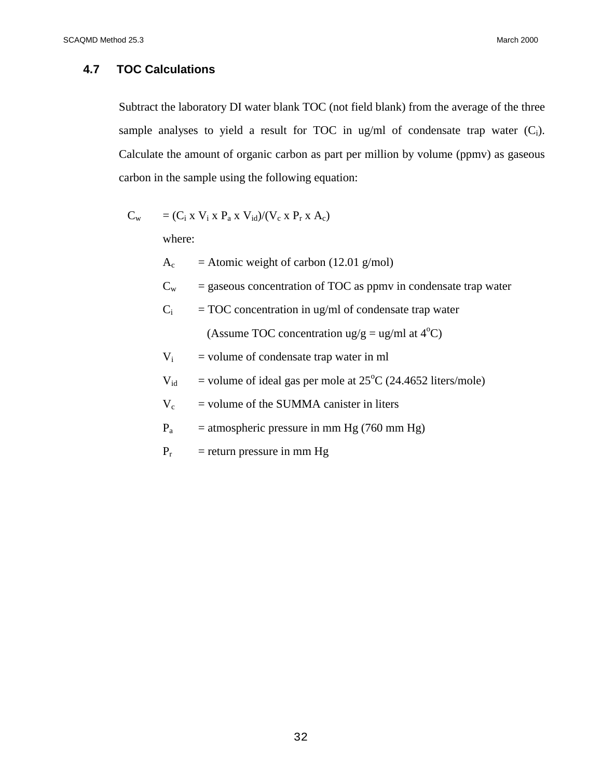## **4.7 TOC Calculations**

Subtract the laboratory DI water blank TOC (not field blank) from the average of the three sample analyses to yield a result for TOC in ug/ml of condensate trap water  $(C_i)$ . Calculate the amount of organic carbon as part per million by volume (ppmv) as gaseous carbon in the sample using the following equation:

$$
C_w = (C_i \times V_i \times P_a \times V_{id})/(V_c \times P_r \times A_c)
$$

where:

 $A_c$  = Atomic weight of carbon (12.01 g/mol)

 $C_w$  = gaseous concentration of TOC as ppmv in condensate trap water

$$
C_i = TOC concentration in ug/ml of condensate trap water
$$
  
(Assume TOC concentration ug/g = ug/ml at 4°C)

 $V_i$  = volume of condensate trap water in ml

 $V_{\text{id}}$  = volume of ideal gas per mole at 25<sup>o</sup>C (24.4652 liters/mole)

 $V_c$  = volume of the SUMMA canister in liters

- $P_a$  = atmospheric pressure in mm Hg (760 mm Hg)
- $P_r$  = return pressure in mm Hg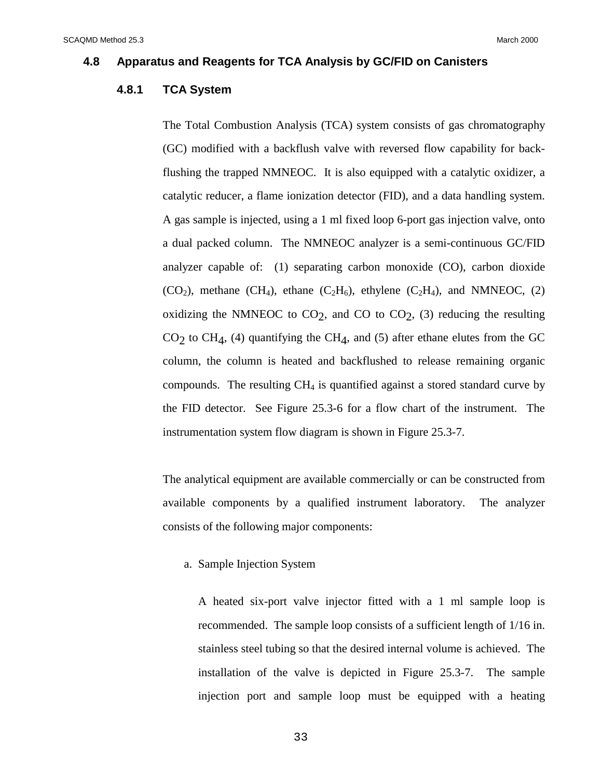#### **4.8 Apparatus and Reagents for TCA Analysis by GC/FID on Canisters**

## **4.8.1 TCA System**

The Total Combustion Analysis (TCA) system consists of gas chromatography (GC) modified with a backflush valve with reversed flow capability for backflushing the trapped NMNEOC. It is also equipped with a catalytic oxidizer, a catalytic reducer, a flame ionization detector (FID), and a data handling system. A gas sample is injected, using a 1 ml fixed loop 6-port gas injection valve, onto a dual packed column. The NMNEOC analyzer is a semi-continuous GC/FID analyzer capable of: (1) separating carbon monoxide (CO), carbon dioxide  $(CO_2)$ , methane  $(CH_4)$ , ethane  $(C_2H_6)$ , ethylene  $(C_2H_4)$ , and NMNEOC, (2) oxidizing the NMNEOC to  $CO<sub>2</sub>$ , and CO to  $CO<sub>2</sub>$ , (3) reducing the resulting  $CO<sub>2</sub>$  to CH<sub>4</sub>, (4) quantifying the CH<sub>4</sub>, and (5) after ethane elutes from the GC column, the column is heated and backflushed to release remaining organic compounds. The resulting  $CH<sub>4</sub>$  is quantified against a stored standard curve by the FID detector. See Figure 25.3-6 for a flow chart of the instrument. The instrumentation system flow diagram is shown in Figure 25.3-7.

The analytical equipment are available commercially or can be constructed from available components by a qualified instrument laboratory. The analyzer consists of the following major components:

a. Sample Injection System

A heated six-port valve injector fitted with a 1 ml sample loop is recommended. The sample loop consists of a sufficient length of 1/16 in. stainless steel tubing so that the desired internal volume is achieved. The installation of the valve is depicted in Figure 25.3-7. The sample injection port and sample loop must be equipped with a heating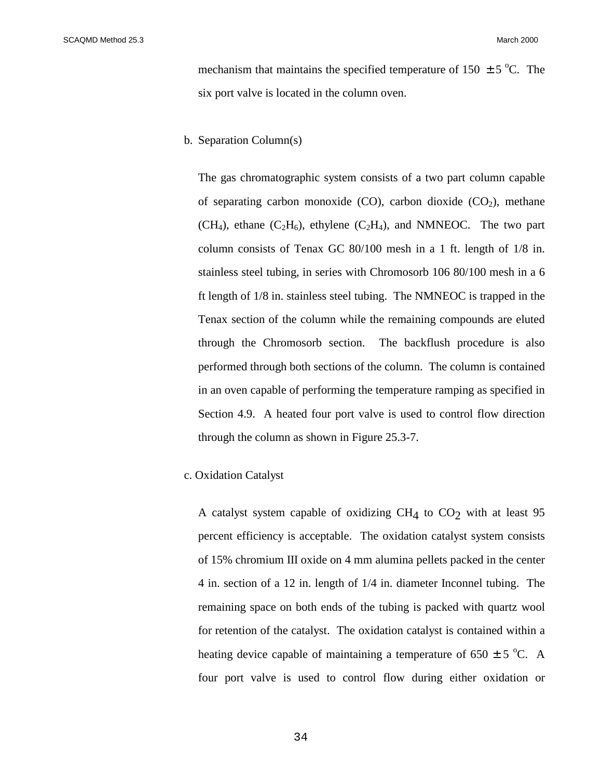mechanism that maintains the specified temperature of 150  $\pm$  5 °C. The six port valve is located in the column oven.

#### b. Separation Column(s)

The gas chromatographic system consists of a two part column capable of separating carbon monoxide  $(CO)$ , carbon dioxide  $(CO<sub>2</sub>)$ , methane  $(CH_4)$ , ethane  $(C_2H_6)$ , ethylene  $(C_2H_4)$ , and NMNEOC. The two part column consists of Tenax GC 80/100 mesh in a 1 ft. length of 1/8 in. stainless steel tubing, in series with Chromosorb 106 80/100 mesh in a 6 ft length of 1/8 in. stainless steel tubing. The NMNEOC is trapped in the Tenax section of the column while the remaining compounds are eluted through the Chromosorb section. The backflush procedure is also performed through both sections of the column. The column is contained in an oven capable of performing the temperature ramping as specified in Section 4.9. A heated four port valve is used to control flow direction through the column as shown in Figure 25.3-7.

#### c. Oxidation Catalyst

A catalyst system capable of oxidizing  $CH<sub>4</sub>$  to  $CO<sub>2</sub>$  with at least 95 percent efficiency is acceptable. The oxidation catalyst system consists of 15% chromium III oxide on 4 mm alumina pellets packed in the center 4 in. section of a 12 in. length of 1/4 in. diameter Inconnel tubing. The remaining space on both ends of the tubing is packed with quartz wool for retention of the catalyst. The oxidation catalyst is contained within a heating device capable of maintaining a temperature of  $650 \pm 5$  °C. A four port valve is used to control flow during either oxidation or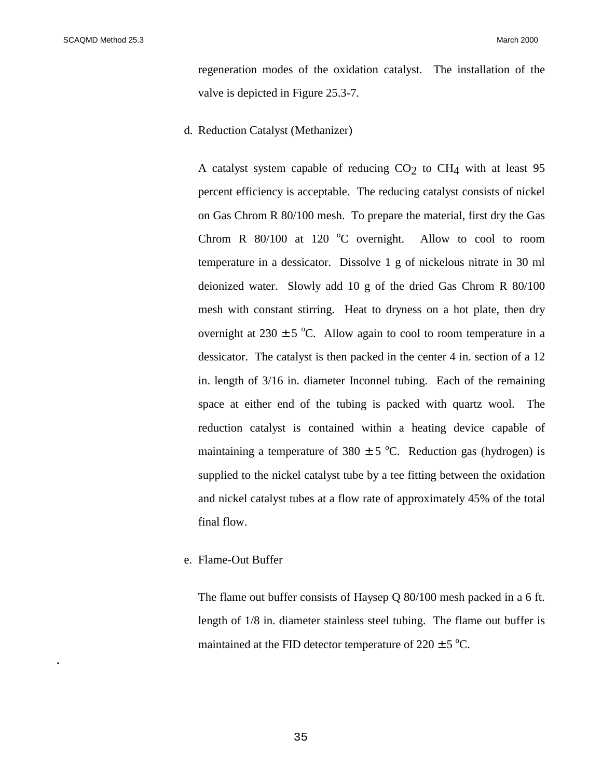**.**

regeneration modes of the oxidation catalyst. The installation of the valve is depicted in Figure 25.3-7.

d. Reduction Catalyst (Methanizer)

A catalyst system capable of reducing  $CO<sub>2</sub>$  to  $CH<sub>4</sub>$  with at least 95 percent efficiency is acceptable. The reducing catalyst consists of nickel on Gas Chrom R 80/100 mesh. To prepare the material, first dry the Gas Chrom R  $80/100$  at 120 °C overnight. Allow to cool to room temperature in a dessicator. Dissolve 1 g of nickelous nitrate in 30 ml deionized water. Slowly add 10 g of the dried Gas Chrom R 80/100 mesh with constant stirring. Heat to dryness on a hot plate, then dry overnight at  $230 \pm 5$  °C. Allow again to cool to room temperature in a dessicator. The catalyst is then packed in the center 4 in. section of a 12 in. length of 3/16 in. diameter Inconnel tubing. Each of the remaining space at either end of the tubing is packed with quartz wool. The reduction catalyst is contained within a heating device capable of maintaining a temperature of  $380 \pm 5$  °C. Reduction gas (hydrogen) is supplied to the nickel catalyst tube by a tee fitting between the oxidation and nickel catalyst tubes at a flow rate of approximately 45% of the total final flow.

e. Flame-Out Buffer

The flame out buffer consists of Haysep Q 80/100 mesh packed in a 6 ft. length of 1/8 in. diameter stainless steel tubing. The flame out buffer is maintained at the FID detector temperature of  $220 \pm 5$  °C.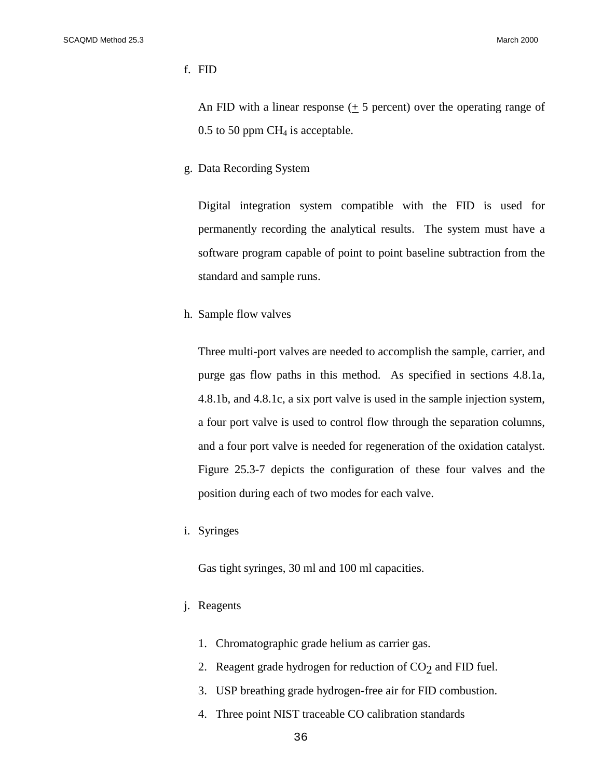#### f. FID

An FID with a linear response  $(± 5$  percent) over the operating range of  $0.5$  to 50 ppm CH<sub>4</sub> is acceptable.

g. Data Recording System

Digital integration system compatible with the FID is used for permanently recording the analytical results. The system must have a software program capable of point to point baseline subtraction from the standard and sample runs.

h. Sample flow valves

Three multi-port valves are needed to accomplish the sample, carrier, and purge gas flow paths in this method. As specified in sections 4.8.1a, 4.8.1b, and 4.8.1c, a six port valve is used in the sample injection system, a four port valve is used to control flow through the separation columns, and a four port valve is needed for regeneration of the oxidation catalyst. Figure 25.3-7 depicts the configuration of these four valves and the position during each of two modes for each valve.

i. Syringes

Gas tight syringes, 30 ml and 100 ml capacities.

- j. Reagents
	- 1. Chromatographic grade helium as carrier gas.
	- 2. Reagent grade hydrogen for reduction of  $CO<sub>2</sub>$  and FID fuel.
	- 3. USP breathing grade hydrogen-free air for FID combustion.
	- 4. Three point NIST traceable CO calibration standards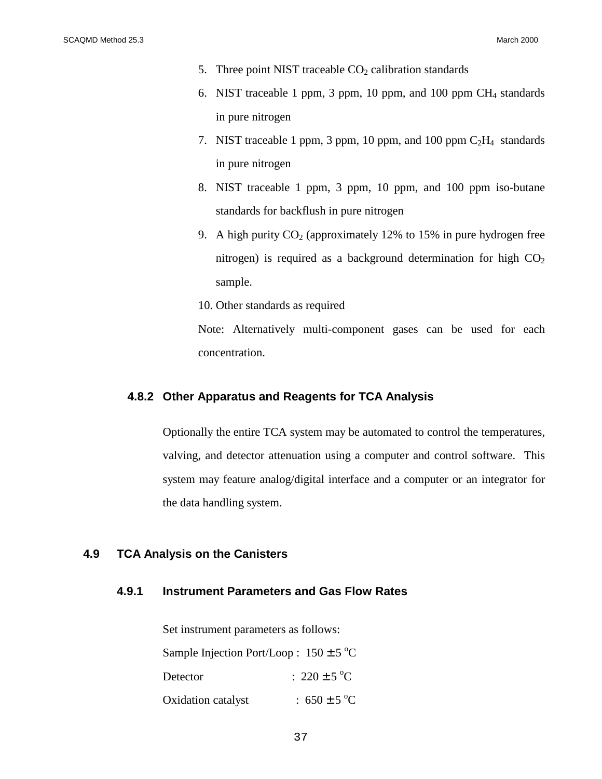- 5. Three point NIST traceable  $CO<sub>2</sub>$  calibration standards
- 6. NIST traceable 1 ppm, 3 ppm, 10 ppm, and 100 ppm  $CH<sub>4</sub>$  standards in pure nitrogen
- 7. NIST traceable 1 ppm, 3 ppm, 10 ppm, and 100 ppm  $C_2H_4$  standards in pure nitrogen
- 8. NIST traceable 1 ppm, 3 ppm, 10 ppm, and 100 ppm iso-butane standards for backflush in pure nitrogen
- 9. A high purity  $CO<sub>2</sub>$  (approximately 12% to 15% in pure hydrogen free nitrogen) is required as a background determination for high  $CO<sub>2</sub>$ sample.
- 10. Other standards as required

Note: Alternatively multi-component gases can be used for each concentration.

#### **4.8.2 Other Apparatus and Reagents for TCA Analysis**

Optionally the entire TCA system may be automated to control the temperatures, valving, and detector attenuation using a computer and control software. This system may feature analog/digital interface and a computer or an integrator for the data handling system.

## **4.9 TCA Analysis on the Canisters**

## **4.9.1 Instrument Parameters and Gas Flow Rates**

Set instrument parameters as follows:

| Sample Injection Port/Loop: $150 \pm 5$ °C |                        |
|--------------------------------------------|------------------------|
| Detector                                   | : $220 \pm 5^{\circ}C$ |
| Oxidation catalyst                         | : 650 ± 5 °C           |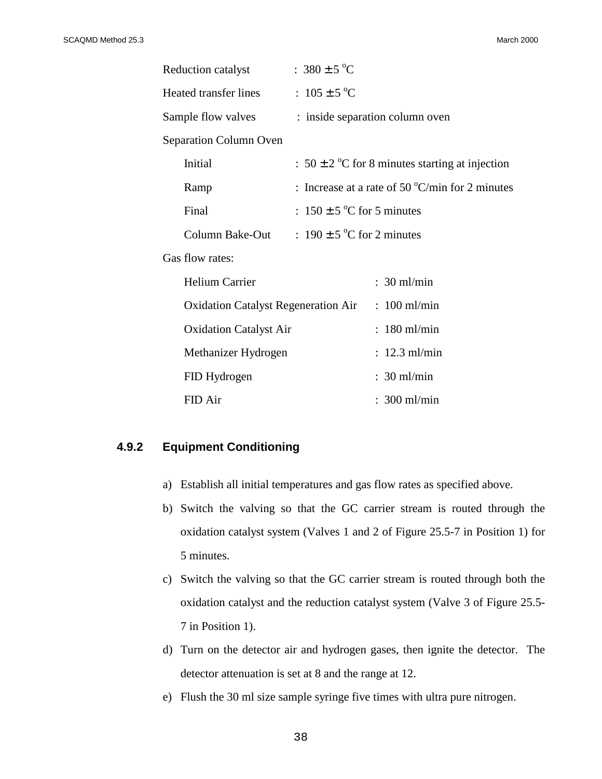| Reduction catalyst                         | : $380 \pm 5^{\circ}C$          |                                                           |  |
|--------------------------------------------|---------------------------------|-----------------------------------------------------------|--|
| Heated transfer lines                      | : $105 \pm 5$ °C                |                                                           |  |
| Sample flow valves                         | : inside separation column oven |                                                           |  |
| Separation Column Oven                     |                                 |                                                           |  |
| Initial                                    |                                 | : $50 \pm 2$ °C for 8 minutes starting at injection       |  |
| Ramp                                       |                                 | : Increase at a rate of 50 $\mathrm{C/min}$ for 2 minutes |  |
| Final                                      | : $150 \pm 5$ °C for 5 minutes  |                                                           |  |
| Column Bake-Out                            | : $190 \pm 5$ °C for 2 minutes  |                                                           |  |
| Gas flow rates:                            |                                 |                                                           |  |
| <b>Helium Carrier</b>                      |                                 | $: 30$ ml/min                                             |  |
| <b>Oxidation Catalyst Regeneration Air</b> |                                 | $: 100$ ml/min                                            |  |
| <b>Oxidation Catalyst Air</b>              |                                 | $: 180$ ml/min                                            |  |
| Methanizer Hydrogen                        |                                 | $: 12.3$ ml/min                                           |  |
| FID Hydrogen                               |                                 | $: 30$ ml/min                                             |  |
| FID Air                                    |                                 | $: 300$ ml/min                                            |  |

## **4.9.2 Equipment Conditioning**

- a) Establish all initial temperatures and gas flow rates as specified above.
- b) Switch the valving so that the GC carrier stream is routed through the oxidation catalyst system (Valves 1 and 2 of Figure 25.5-7 in Position 1) for 5 minutes.
- c) Switch the valving so that the GC carrier stream is routed through both the oxidation catalyst and the reduction catalyst system (Valve 3 of Figure 25.5- 7 in Position 1).
- d) Turn on the detector air and hydrogen gases, then ignite the detector. The detector attenuation is set at 8 and the range at 12.
- e) Flush the 30 ml size sample syringe five times with ultra pure nitrogen.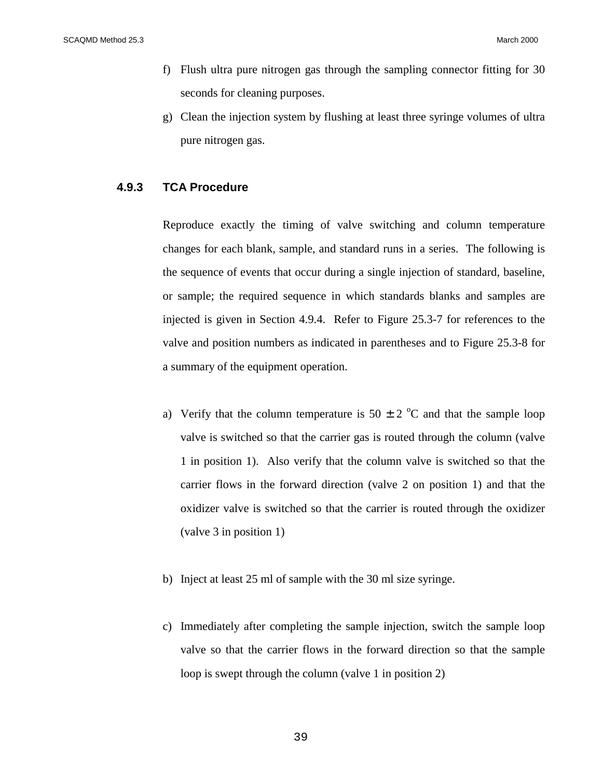SCAQMD Method 25.3 March 2000

- f) Flush ultra pure nitrogen gas through the sampling connector fitting for 30 seconds for cleaning purposes.
- g) Clean the injection system by flushing at least three syringe volumes of ultra pure nitrogen gas.

## **4.9.3 TCA Procedure**

Reproduce exactly the timing of valve switching and column temperature changes for each blank, sample, and standard runs in a series. The following is the sequence of events that occur during a single injection of standard, baseline, or sample; the required sequence in which standards blanks and samples are injected is given in Section 4.9.4. Refer to Figure 25.3-7 for references to the valve and position numbers as indicated in parentheses and to Figure 25.3-8 for a summary of the equipment operation.

- a) Verify that the column temperature is  $50 \pm 2$  °C and that the sample loop valve is switched so that the carrier gas is routed through the column (valve 1 in position 1). Also verify that the column valve is switched so that the carrier flows in the forward direction (valve 2 on position 1) and that the oxidizer valve is switched so that the carrier is routed through the oxidizer (valve 3 in position 1)
- b) Inject at least 25 ml of sample with the 30 ml size syringe.
- c) Immediately after completing the sample injection, switch the sample loop valve so that the carrier flows in the forward direction so that the sample loop is swept through the column (valve 1 in position 2)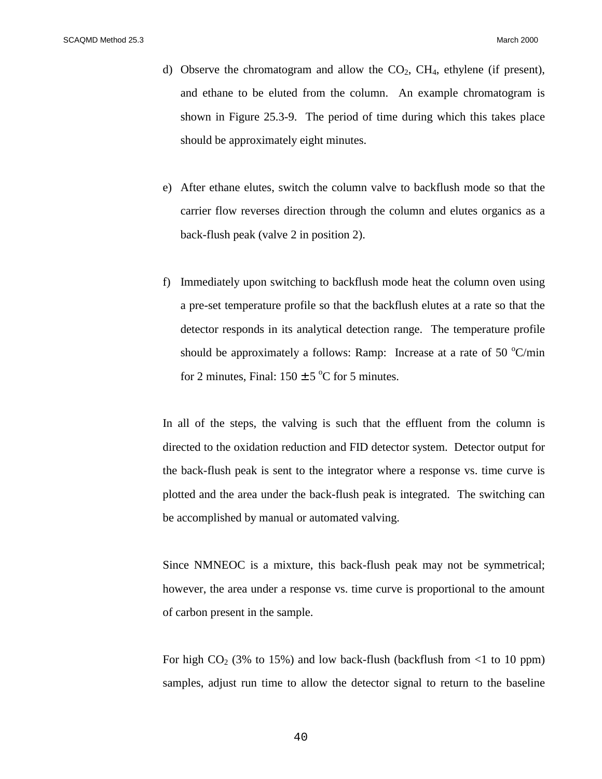- d) Observe the chromatogram and allow the  $CO<sub>2</sub>$ ,  $CH<sub>4</sub>$ , ethylene (if present), and ethane to be eluted from the column. An example chromatogram is shown in Figure 25.3-9. The period of time during which this takes place should be approximately eight minutes.
- e) After ethane elutes, switch the column valve to backflush mode so that the carrier flow reverses direction through the column and elutes organics as a back-flush peak (valve 2 in position 2).
- f) Immediately upon switching to backflush mode heat the column oven using a pre-set temperature profile so that the backflush elutes at a rate so that the detector responds in its analytical detection range. The temperature profile should be approximately a follows: Ramp: Increase at a rate of 50  $^{\circ}$ C/min for 2 minutes, Final:  $150 \pm 5$  °C for 5 minutes.

In all of the steps, the valving is such that the effluent from the column is directed to the oxidation reduction and FID detector system. Detector output for the back-flush peak is sent to the integrator where a response vs. time curve is plotted and the area under the back-flush peak is integrated. The switching can be accomplished by manual or automated valving.

Since NMNEOC is a mixture, this back-flush peak may not be symmetrical; however, the area under a response vs. time curve is proportional to the amount of carbon present in the sample.

For high  $CO_2$  (3% to 15%) and low back-flush (backflush from  $\langle$ 1 to 10 ppm) samples, adjust run time to allow the detector signal to return to the baseline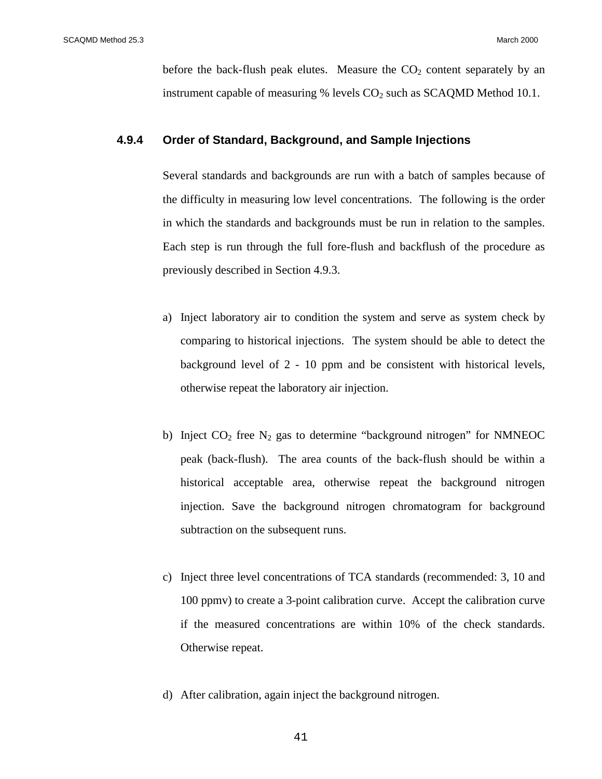before the back-flush peak elutes. Measure the  $CO<sub>2</sub>$  content separately by an instrument capable of measuring % levels  $CO<sub>2</sub>$  such as SCAQMD Method 10.1.

## **4.9.4 Order of Standard, Background, and Sample Injections**

Several standards and backgrounds are run with a batch of samples because of the difficulty in measuring low level concentrations. The following is the order in which the standards and backgrounds must be run in relation to the samples. Each step is run through the full fore-flush and backflush of the procedure as previously described in Section 4.9.3.

- a) Inject laboratory air to condition the system and serve as system check by comparing to historical injections. The system should be able to detect the background level of 2 - 10 ppm and be consistent with historical levels, otherwise repeat the laboratory air injection.
- b) Inject  $CO_2$  free  $N_2$  gas to determine "background nitrogen" for NMNEOC peak (back-flush). The area counts of the back-flush should be within a historical acceptable area, otherwise repeat the background nitrogen injection. Save the background nitrogen chromatogram for background subtraction on the subsequent runs.
- c) Inject three level concentrations of TCA standards (recommended: 3, 10 and 100 ppmv) to create a 3-point calibration curve. Accept the calibration curve if the measured concentrations are within 10% of the check standards. Otherwise repeat.
- d) After calibration, again inject the background nitrogen.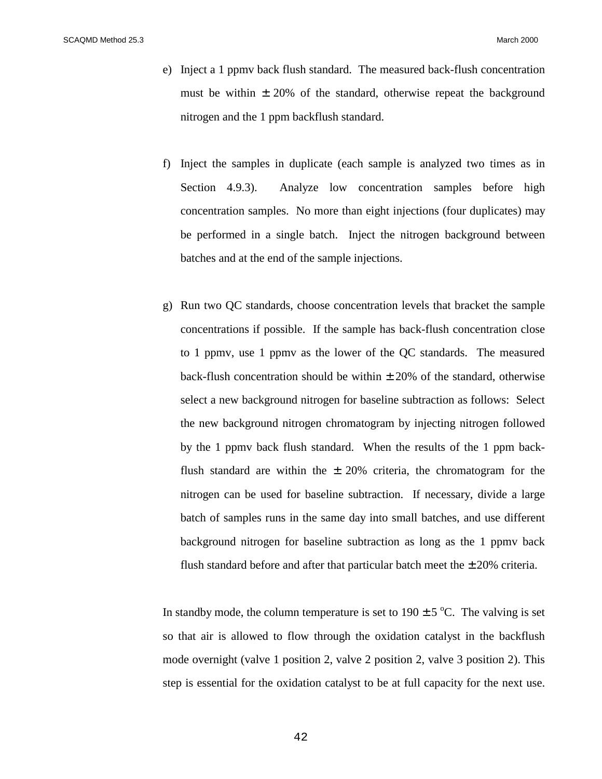- e) Inject a 1 ppmv back flush standard. The measured back-flush concentration must be within  $\pm 20\%$  of the standard, otherwise repeat the background nitrogen and the 1 ppm backflush standard.
- f) Inject the samples in duplicate (each sample is analyzed two times as in Section 4.9.3). Analyze low concentration samples before high concentration samples. No more than eight injections (four duplicates) may be performed in a single batch. Inject the nitrogen background between batches and at the end of the sample injections.
- g) Run two QC standards, choose concentration levels that bracket the sample concentrations if possible. If the sample has back-flush concentration close to 1 ppmv, use 1 ppmv as the lower of the QC standards. The measured back-flush concentration should be within  $\pm$  20% of the standard, otherwise select a new background nitrogen for baseline subtraction as follows: Select the new background nitrogen chromatogram by injecting nitrogen followed by the 1 ppmv back flush standard. When the results of the 1 ppm backflush standard are within the  $\pm$  20% criteria, the chromatogram for the nitrogen can be used for baseline subtraction. If necessary, divide a large batch of samples runs in the same day into small batches, and use different background nitrogen for baseline subtraction as long as the 1 ppmv back flush standard before and after that particular batch meet the  $\pm 20\%$  criteria.

In standby mode, the column temperature is set to  $190 \pm 5$  °C. The valving is set so that air is allowed to flow through the oxidation catalyst in the backflush mode overnight (valve 1 position 2, valve 2 position 2, valve 3 position 2). This step is essential for the oxidation catalyst to be at full capacity for the next use.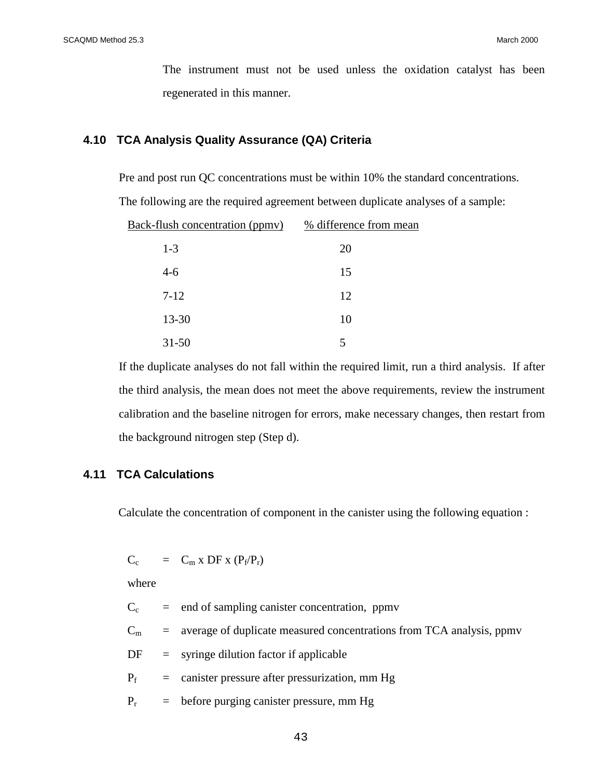The instrument must not be used unless the oxidation catalyst has been regenerated in this manner.

#### **4.10 TCA Analysis Quality Assurance (QA) Criteria**

Pre and post run QC concentrations must be within 10% the standard concentrations.

The following are the required agreement between duplicate analyses of a sample:

| Back-flush concentration (ppmv) | % difference from mean |
|---------------------------------|------------------------|
| $1-3$                           | 20                     |
| $4-6$                           | 15                     |
| $7 - 12$                        | 12                     |
| 13-30                           | 10                     |
| $31 - 50$                       | 5                      |

If the duplicate analyses do not fall within the required limit, run a third analysis. If after the third analysis, the mean does not meet the above requirements, review the instrument calibration and the baseline nitrogen for errors, make necessary changes, then restart from the background nitrogen step (Step d).

## **4.11 TCA Calculations**

Calculate the concentration of component in the canister using the following equation :

 $C_c$  =  $C_m$  x DF x  $(P_f/P_r)$ 

where

 $C_c$  = end of sampling canister concentration, ppmv

 $C_m$  = average of duplicate measured concentrations from TCA analysis, ppmv

 $DF =$  syringe dilution factor if applicable

 $P_f$  = canister pressure after pressurization, mm Hg

 $P_r$  = before purging canister pressure, mm Hg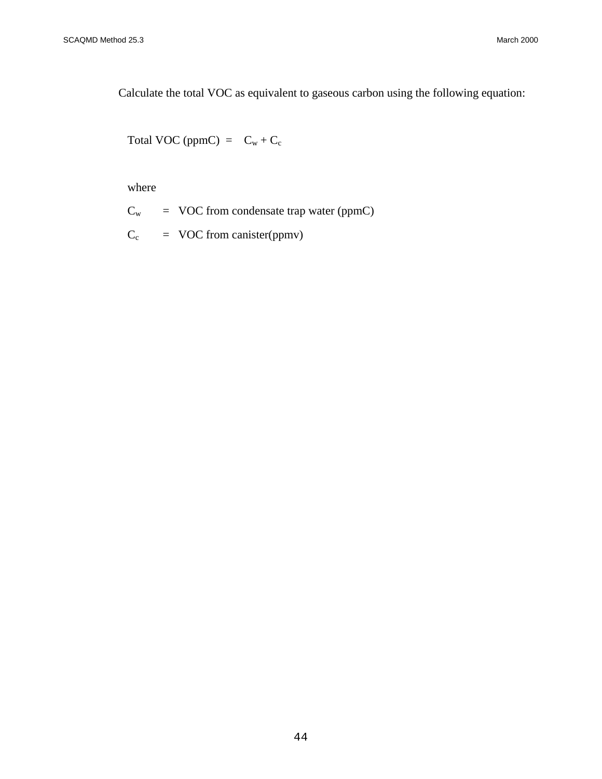Calculate the total VOC as equivalent to gaseous carbon using the following equation:

Total VOC (ppmC) =  $C_w + C_c$ 

where

 $C_w$  = VOC from condensate trap water (ppmC)

 $C_c$  = VOC from canister(ppmv)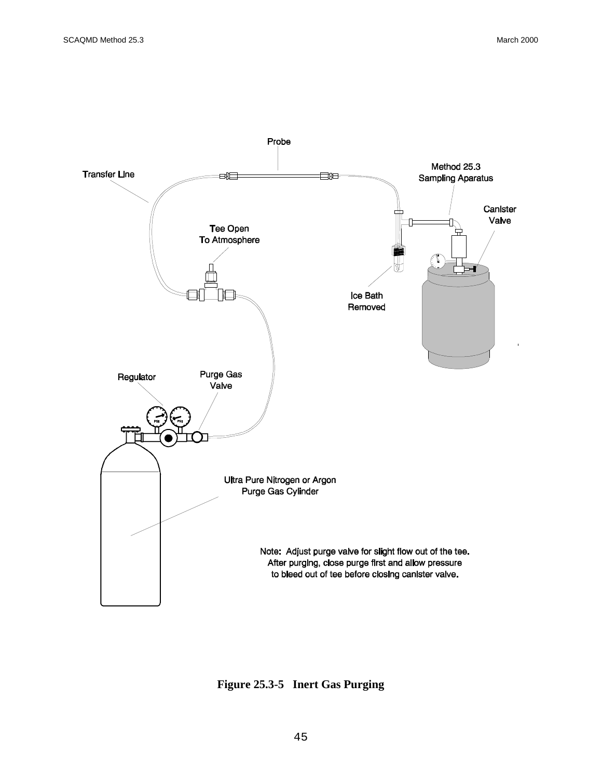

**Figure 25.3-5 Inert Gas Purging**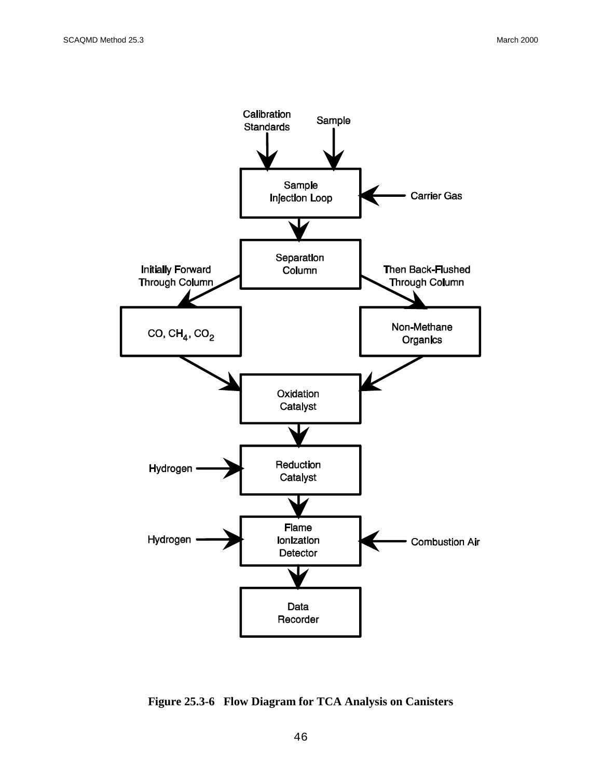

**Figure 25.3-6 Flow Diagram for TCA Analysis on Canisters**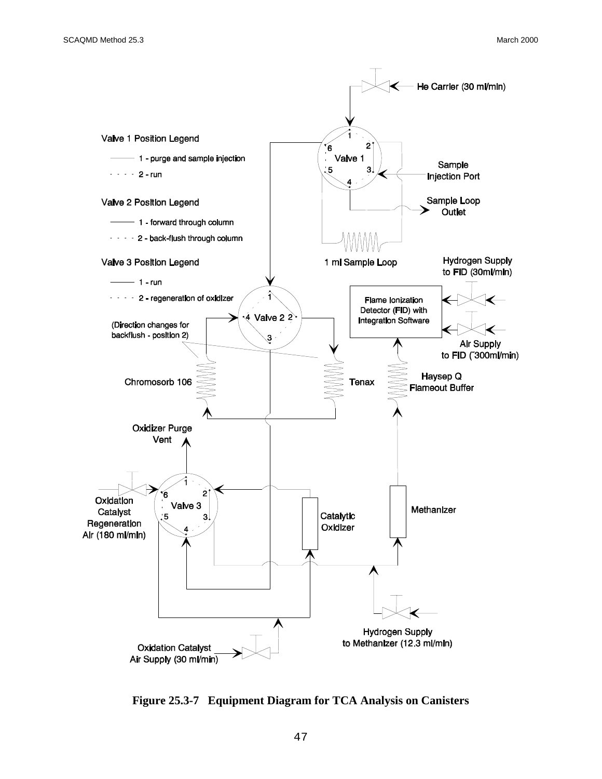

**Figure 25.3-7 Equipment Diagram for TCA Analysis on Canisters**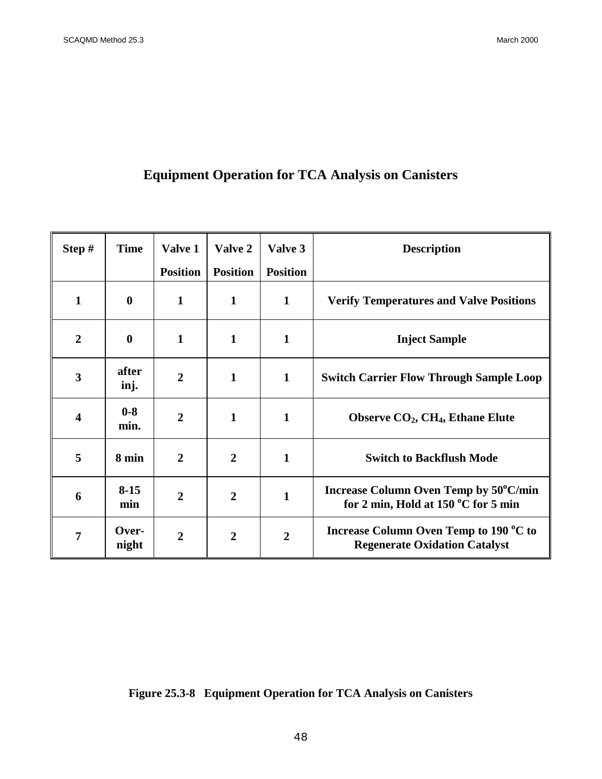# **Equipment Operation for TCA Analysis on Canisters**

| Step#          | <b>Time</b>      | Valve 1         | Valve 2         | Valve 3         | <b>Description</b>                                                                       |
|----------------|------------------|-----------------|-----------------|-----------------|------------------------------------------------------------------------------------------|
|                |                  | <b>Position</b> | <b>Position</b> | <b>Position</b> |                                                                                          |
| 1              | $\bf{0}$         | $\mathbf{1}$    | $\mathbf{1}$    | $\mathbf{1}$    | <b>Verify Temperatures and Valve Positions</b>                                           |
| $\overline{2}$ | $\boldsymbol{0}$ | $\mathbf{1}$    | $\mathbf{1}$    | $\mathbf{1}$    | <b>Inject Sample</b>                                                                     |
| 3              | after<br>inj.    | $\overline{2}$  | $\mathbf{1}$    | $\mathbf{1}$    | <b>Switch Carrier Flow Through Sample Loop</b>                                           |
| 4              | $0 - 8$<br>min.  | $\overline{2}$  | $\mathbf{1}$    | 1               | Observe $CO2$ , CH <sub>4</sub> , Ethane Elute                                           |
| 5              | 8 min            | $\overline{2}$  | $\overline{2}$  | 1               | <b>Switch to Backflush Mode</b>                                                          |
| 6              | $8 - 15$<br>min  | $\overline{2}$  | $\overline{2}$  | $\mathbf{1}$    | Increase Column Oven Temp by 50°C/min<br>for 2 min, Hold at 150 $\mathrm{^0C}$ for 5 min |
| 7              | Over-<br>night   | $\overline{2}$  | $\overline{2}$  | $\overline{2}$  | Increase Column Oven Temp to 190 °C to<br><b>Regenerate Oxidation Catalyst</b>           |

**Figure 25.3-8 Equipment Operation for TCA Analysis on Canisters**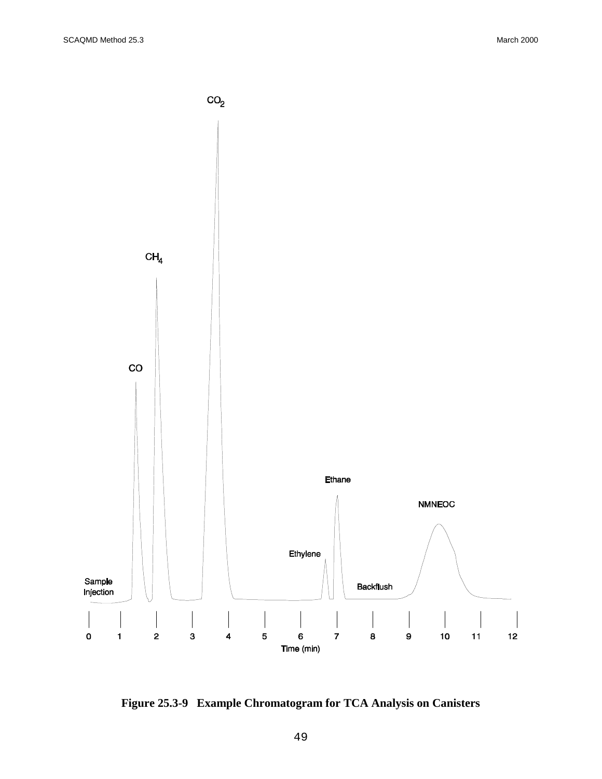

**Figure 25.3-9 Example Chromatogram for TCA Analysis on Canisters**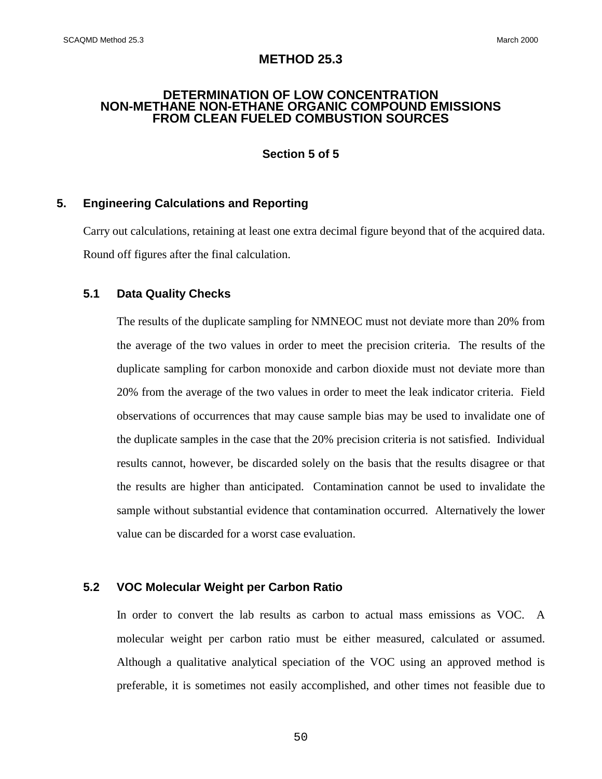## **METHOD 25.3**

#### **DETERMINATION OF LOW CONCENTRATION NON-METHANE NON-ETHANE ORGANIC COMPOUND EMISSIONS FROM CLEAN FUELED COMBUSTION SOURCES**

## **Section 5 of 5**

## **5. Engineering Calculations and Reporting**

Carry out calculations, retaining at least one extra decimal figure beyond that of the acquired data. Round off figures after the final calculation.

## **5.1 Data Quality Checks**

The results of the duplicate sampling for NMNEOC must not deviate more than 20% from the average of the two values in order to meet the precision criteria. The results of the duplicate sampling for carbon monoxide and carbon dioxide must not deviate more than 20% from the average of the two values in order to meet the leak indicator criteria. Field observations of occurrences that may cause sample bias may be used to invalidate one of the duplicate samples in the case that the 20% precision criteria is not satisfied. Individual results cannot, however, be discarded solely on the basis that the results disagree or that the results are higher than anticipated. Contamination cannot be used to invalidate the sample without substantial evidence that contamination occurred. Alternatively the lower value can be discarded for a worst case evaluation.

## **5.2 VOC Molecular Weight per Carbon Ratio**

In order to convert the lab results as carbon to actual mass emissions as VOC. A molecular weight per carbon ratio must be either measured, calculated or assumed. Although a qualitative analytical speciation of the VOC using an approved method is preferable, it is sometimes not easily accomplished, and other times not feasible due to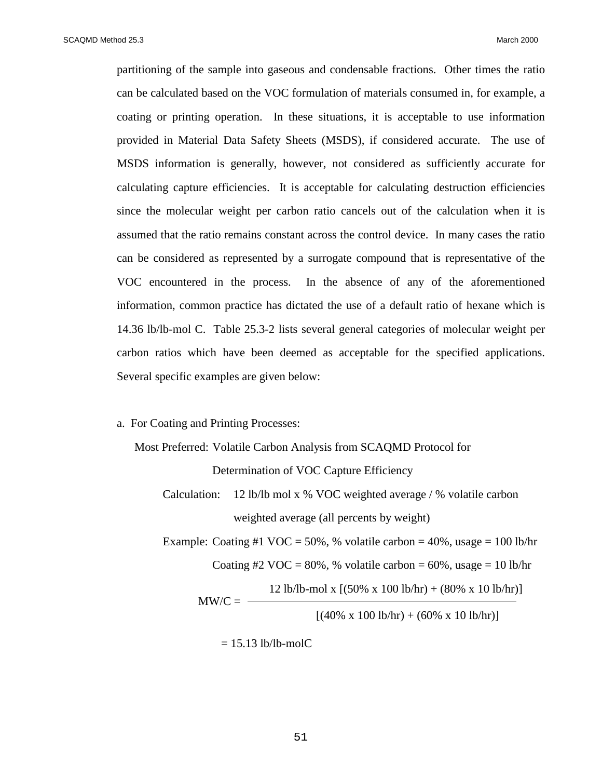partitioning of the sample into gaseous and condensable fractions. Other times the ratio can be calculated based on the VOC formulation of materials consumed in, for example, a coating or printing operation. In these situations, it is acceptable to use information provided in Material Data Safety Sheets (MSDS), if considered accurate. The use of MSDS information is generally, however, not considered as sufficiently accurate for calculating capture efficiencies. It is acceptable for calculating destruction efficiencies since the molecular weight per carbon ratio cancels out of the calculation when it is assumed that the ratio remains constant across the control device. In many cases the ratio can be considered as represented by a surrogate compound that is representative of the VOC encountered in the process. In the absence of any of the aforementioned information, common practice has dictated the use of a default ratio of hexane which is 14.36 lb/lb-mol C. Table 25.3-2 lists several general categories of molecular weight per carbon ratios which have been deemed as acceptable for the specified applications. Several specific examples are given below:

## a. For Coating and Printing Processes:

Most Preferred: Volatile Carbon Analysis from SCAQMD Protocol for

Determination of VOC Capture Efficiency

Calculation: 12 lb/lb mol x % VOC weighted average / % volatile carbon weighted average (all percents by weight)

Example: Coating #1 VOC = 50%, % volatile carbon =  $40\%$ , usage = 100 lb/hr Coating #2 VOC =  $80\%$ , % volatile carbon =  $60\%$ , usage = 10 lb/hr

12 lb/lb-mol x  $[(50\% \times 100 \text{ lb/hr}) + (80\% \times 10 \text{ lb/hr})]$ 

 $MW/C = -$ 

 $[(40\% \times 100 \text{ lb/hr}) + (60\% \times 10 \text{ lb/hr})]$ 

 $= 15.13$  lb/lb-molC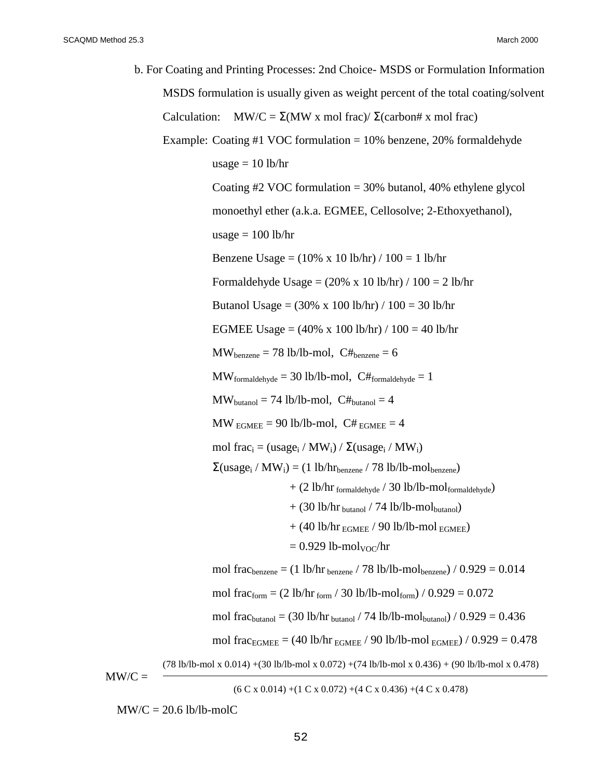b. For Coating and Printing Processes: 2nd Choice- MSDS or Formulation Information MSDS formulation is usually given as weight percent of the total coating/solvent Calculation: MW/C =  $\Sigma$ (MW x mol frac)/ $\Sigma$ (carbon# x mol frac) Example: Coating #1 VOC formulation  $= 10\%$  benzene, 20% formaldehyde usage  $= 10$  lb/hr Coating  $\#2$  VOC formulation = 30% butanol, 40% ethylene glycol monoethyl ether (a.k.a. EGMEE, Cellosolve; 2-Ethoxyethanol), usage  $= 100$  lb/hr Benzene Usage =  $(10\% \times 10 \text{ lb/hr}) / 100 = 1 \text{ lb/hr}$ Formaldehyde Usage =  $(20\% \times 10 \text{ lb/hr}) / 100 = 2 \text{ lb/hr}$ Butanol Usage = (30% x 100 lb/hr) / 100 = 30 lb/hr EGMEE Usage =  $(40\% \times 100 \text{ lb/hr}) / 100 = 40 \text{ lb/hr}$  $MW_{benzene} = 78 lb/lb-mol$ ,  $C#_{benzene} = 6$  $\text{MW}_{\text{formaldehyde}} = 30 \text{ lb/lb-mol}$ ,  $\text{C#}_{\text{formaldehyde}} = 1$  $MW_{\text{butanol}} = 74 \text{ lb/lb-mol}, \text{ C#}_{\text{butanol}} = 4$  $MW_{EGMFE} = 90 lb/lb-mol$ ,  $C#_{EGMFE} = 4$ mol frac<sub>i</sub> = (usage<sub>i</sub> / MW<sub>i</sub>) / Σ(usage<sub>i</sub> / MW<sub>i</sub>)  $\Sigma$ (usage<sub>i</sub> / MW<sub>i</sub>) = (1 lb/hr<sub>benzene</sub> / 78 lb/lb-mol<sub>benzene</sub>) + (2 lb/hr formaldehyde / 30 lb/lb-molformaldehyde)  $+$  (30 lb/hr <sub>butanol</sub> / 74 lb/lb-mol<sub>butanol</sub>)  $+$  (40 lb/hr  $_{\rm EGMEE}$  / 90 lb/lb-mol  $_{\rm EGMEE}$ )  $= 0.929$  lb-mol<sub>VOC</sub>/hr mol frac<sub>benzene</sub> =  $(1 \text{ lb/hr})$ <sub>benzene</sub> / 78 lb/lb-mol<sub>benzene</sub> / 0.929 = 0.014 mol frac<sub>form</sub> =  $(2 \text{ lb/hr}_{\text{form}} / 30 \text{ lb/lb-mol}_{\text{form}}) / 0.929 = 0.072$ mol frac<sub>butanol</sub> = (30 lb/hr <sub>butanol</sub> / 74 lb/lb-mol<sub>butanol</sub>) /  $0.929 = 0.436$ mol frac<sub>EGMEE</sub> = (40 lb/hr  $_{EGMEE}$  / 90 lb/lb-mol  $_{EGMEE}$ ) / 0.929 = 0.478 (78 lb/lb-mol x 0.014) +(30 lb/lb-mol x 0.072) +(74 lb/lb-mol x 0.436) + (90 lb/lb-mol x 0.478)  $MW/C =$ 

 $(6 C x 0.014) + (1 C x 0.072) + (4 C x 0.436) + (4 C x 0.478)$ 

 $MW/C = 20.6$  lb/lb-molC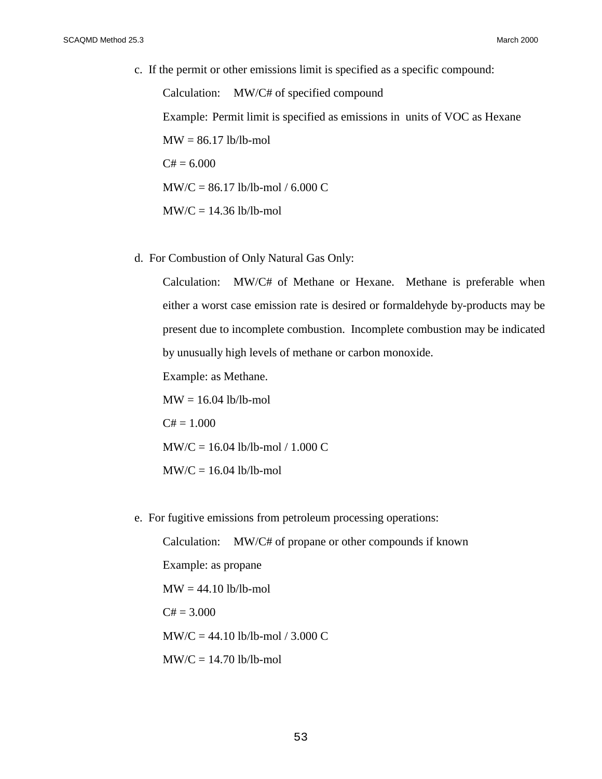c. If the permit or other emissions limit is specified as a specific compound:

Calculation: MW/C# of specified compound Example: Permit limit is specified as emissions in units of VOC as Hexane  $MW = 86.17$  lb/lb-mol  $C# = 6.000$ MW/C = 86.17 lb/lb-mol / 6.000 C  $MW/C = 14.36$  lb/lb-mol

d. For Combustion of Only Natural Gas Only:

Calculation: MW/C# of Methane or Hexane. Methane is preferable when either a worst case emission rate is desired or formaldehyde by-products may be present due to incomplete combustion. Incomplete combustion may be indicated by unusually high levels of methane or carbon monoxide.

Example: as Methane.

 $MW = 16.04$  lb/lb-mol  $C# = 1.000$  $MW/C = 16.04$  lb/lb-mol / 1.000 C  $MW/C = 16.04$  lb/lb-mol

e. For fugitive emissions from petroleum processing operations:

Calculation: MW/C# of propane or other compounds if known Example: as propane  $MW = 44.10 lb/lb-mol$  $C# = 3.000$  $MW/C = 44.10$  lb/lb-mol / 3.000 C  $MW/C = 14.70$  lb/lb-mol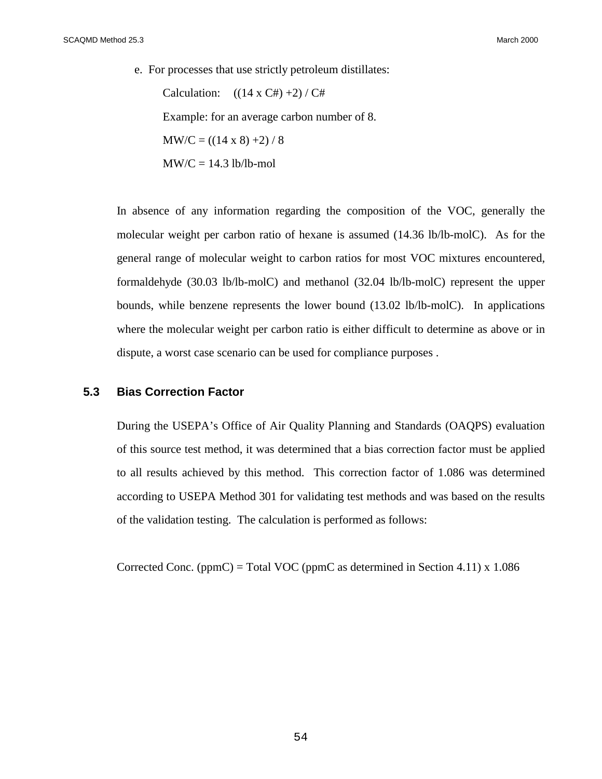e. For processes that use strictly petroleum distillates:

Calculation:  $((14 \times C#)+2)/C#$ Example: for an average carbon number of 8.  $MW/C = ((14 \times 8) + 2) / 8$  $MW/C = 14.3 lb/lb-mol$ 

In absence of any information regarding the composition of the VOC, generally the molecular weight per carbon ratio of hexane is assumed (14.36 lb/lb-molC). As for the general range of molecular weight to carbon ratios for most VOC mixtures encountered, formaldehyde (30.03 lb/lb-molC) and methanol (32.04 lb/lb-molC) represent the upper bounds, while benzene represents the lower bound (13.02 lb/lb-molC). In applications where the molecular weight per carbon ratio is either difficult to determine as above or in dispute, a worst case scenario can be used for compliance purposes .

## **5.3 Bias Correction Factor**

During the USEPA's Office of Air Quality Planning and Standards (OAQPS) evaluation of this source test method, it was determined that a bias correction factor must be applied to all results achieved by this method. This correction factor of 1.086 was determined according to USEPA Method 301 for validating test methods and was based on the results of the validation testing. The calculation is performed as follows:

Corrected Conc. (ppmC) = Total VOC (ppmC as determined in Section 4.11)  $x$  1.086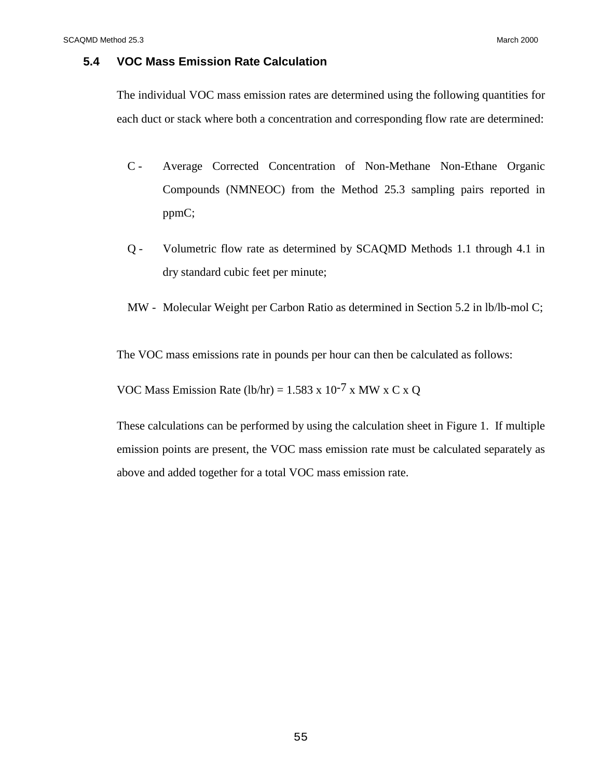## **5.4 VOC Mass Emission Rate Calculation**

The individual VOC mass emission rates are determined using the following quantities for each duct or stack where both a concentration and corresponding flow rate are determined:

- C Average Corrected Concentration of Non-Methane Non-Ethane Organic Compounds (NMNEOC) from the Method 25.3 sampling pairs reported in ppmC;
- Q Volumetric flow rate as determined by SCAQMD Methods 1.1 through 4.1 in dry standard cubic feet per minute;

MW - Molecular Weight per Carbon Ratio as determined in Section 5.2 in lb/lb-mol C;

The VOC mass emissions rate in pounds per hour can then be calculated as follows:

VOC Mass Emission Rate (lb/hr) =  $1.583 \times 10^{-7} \times MW \times C \times Q$ 

These calculations can be performed by using the calculation sheet in Figure 1. If multiple emission points are present, the VOC mass emission rate must be calculated separately as above and added together for a total VOC mass emission rate.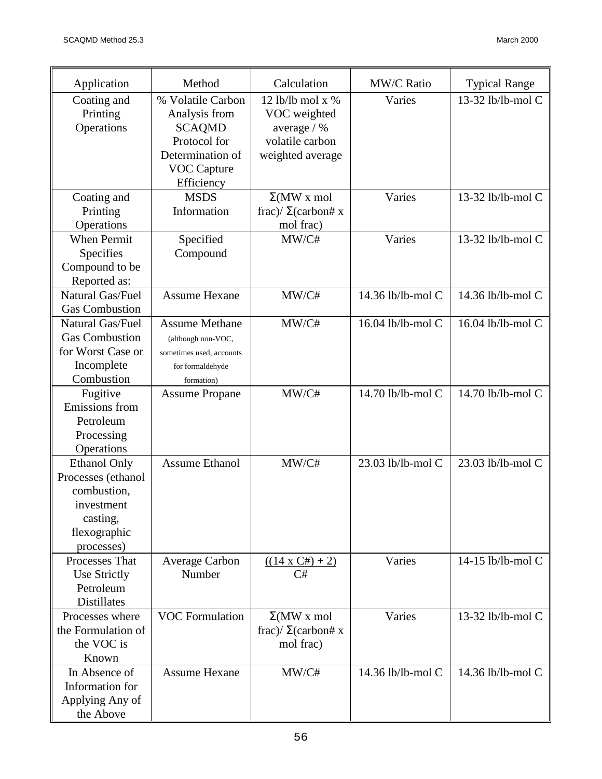| Application                                                                                                      | Method                                                                                                                      | Calculation                                                                              | <b>MW/C Ratio</b> | <b>Typical Range</b> |
|------------------------------------------------------------------------------------------------------------------|-----------------------------------------------------------------------------------------------------------------------------|------------------------------------------------------------------------------------------|-------------------|----------------------|
| Coating and<br>Printing<br>Operations                                                                            | % Volatile Carbon<br>Analysis from<br><b>SCAQMD</b><br>Protocol for<br>Determination of<br><b>VOC Capture</b><br>Efficiency | 12 lb/lb mol x $%$<br>VOC weighted<br>average / %<br>volatile carbon<br>weighted average | Varies            | 13-32 lb/lb-mol C    |
| Coating and<br>Printing<br>Operations                                                                            | <b>MSDS</b><br>Information                                                                                                  | $\Sigma(MW \times mol)$<br>frac)/ $\Sigma$ (carbon# x<br>mol frac)                       | Varies            | 13-32 lb/lb-mol C    |
| <b>When Permit</b><br>Specifies<br>Compound to be<br>Reported as:                                                | Specified<br>Compound                                                                                                       | MW/C#                                                                                    | Varies            | 13-32 lb/lb-mol C    |
| Natural Gas/Fuel<br><b>Gas Combustion</b>                                                                        | <b>Assume Hexane</b>                                                                                                        | MW/C#                                                                                    | 14.36 lb/lb-mol C | 14.36 lb/lb-mol C    |
| Natural Gas/Fuel<br><b>Gas Combustion</b><br>for Worst Case or<br>Incomplete<br>Combustion                       | <b>Assume Methane</b><br>(although non-VOC,<br>sometimes used, accounts<br>for formaldehyde<br>formation)                   | MW/C#                                                                                    | 16.04 lb/lb-mol C | 16.04 lb/lb-mol C    |
| Fugitive<br>Emissions from<br>Petroleum<br>Processing<br>Operations                                              | <b>Assume Propane</b>                                                                                                       | MW/C#                                                                                    | 14.70 lb/lb-mol C | 14.70 lb/lb-mol C    |
| <b>Ethanol Only</b><br>Processes (ethanol<br>combustion,<br>investment<br>casting,<br>flexographic<br>processes) | <b>Assume Ethanol</b>                                                                                                       | MW/C#                                                                                    | 23.03 lb/lb-mol C | 23.03 lb/lb-mol C    |
| Processes That<br><b>Use Strictly</b><br>Petroleum<br><b>Distillates</b>                                         | <b>Average Carbon</b><br>Number                                                                                             | $((14 \times C#)+2)$<br>C#                                                               | Varies            | 14-15 lb/lb-mol C    |
| Processes where<br>the Formulation of<br>the VOC is<br>Known                                                     | <b>VOC Formulation</b>                                                                                                      | $\Sigma(MW \times mol)$<br>frac)/ $\Sigma$ (carbon# x<br>mol frac)                       | Varies            | 13-32 lb/lb-mol C    |
| In Absence of<br>Information for<br>Applying Any of<br>the Above                                                 | <b>Assume Hexane</b>                                                                                                        | MW/C#                                                                                    | 14.36 lb/lb-mol C | 14.36 lb/lb-mol C    |